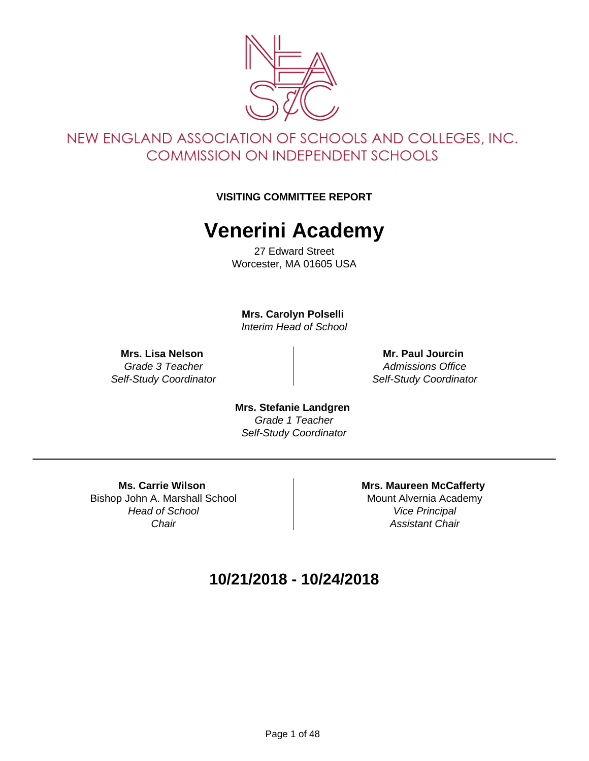

### NEW ENGLAND ASSOCIATION OF SCHOOLS AND COLLEGES, INC. **COMMISSION ON INDEPENDENT SCHOOLS**

#### **VISITING COMMITTEE REPORT**

# **Venerini Academy**

27 Edward Street Worcester, MA 01605 USA

**Mrs. Carolyn Polselli**  Interim Head of School

**Mrs. Lisa Nelson**  Grade 3 Teacher Self-Study Coordinator

**Mr. Paul Jourcin**  Admissions Office Self-Study Coordinator

**Mrs. Stefanie Landgren**  Grade 1 Teacher Self-Study Coordinator

**Ms. Carrie Wilson**  Bishop John A. Marshall School Head of School **Chair** 

**Mrs. Maureen McCafferty**  Mount Alvernia Academy Vice Principal Assistant Chair

#### **10/21/2018 - 10/24/2018**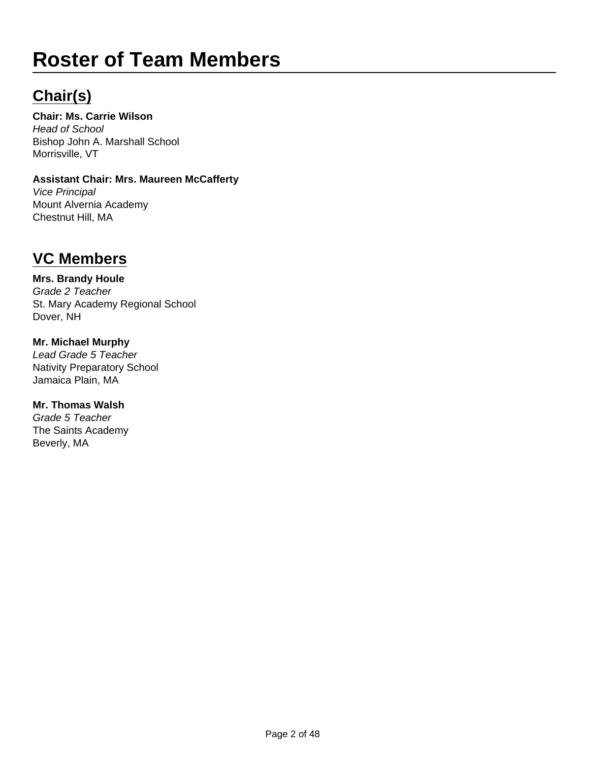# **Roster of Team Members**

# **Chair(s)**

**Chair: Ms. Carrie Wilson**  Head of School Bishop John A. Marshall School Morrisville, VT

#### **Assistant Chair: Mrs. Maureen McCafferty**  Vice Principal Mount Alvernia Academy

# **VC Members**

Chestnut Hill, MA

#### **Mrs. Brandy Houle**

Grade 2 Teacher St. Mary Academy Regional School Dover, NH

#### **Mr. Michael Murphy**  Lead Grade 5 Teacher Nativity Preparatory School Jamaica Plain, MA

**Mr. Thomas Walsh**  Grade 5 Teacher The Saints Academy Beverly, MA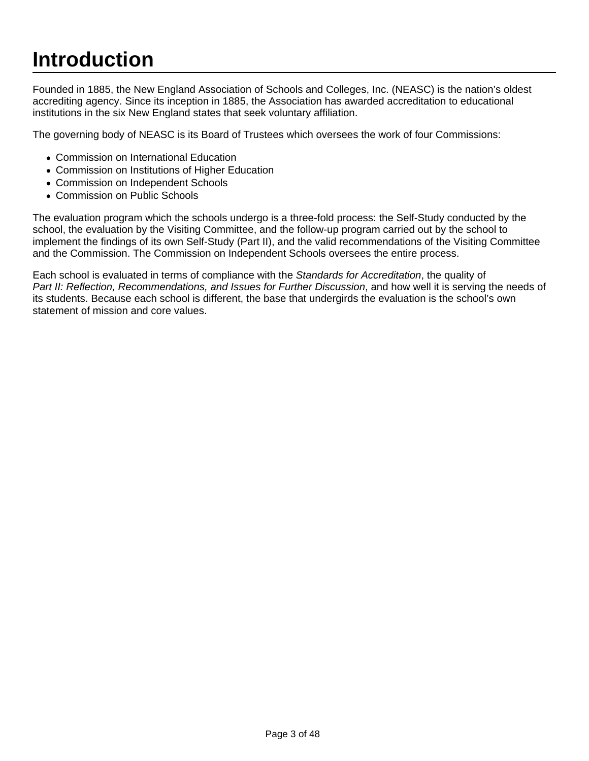# **Introduction**

Founded in 1885, the New England Association of Schools and Colleges, Inc. (NEASC) is the nation's oldest accrediting agency. Since its inception in 1885, the Association has awarded accreditation to educational institutions in the six New England states that seek voluntary affiliation.

The governing body of NEASC is its Board of Trustees which oversees the work of four Commissions:

- Commission on International Education
- Commission on Institutions of Higher Education
- Commission on Independent Schools
- Commission on Public Schools

The evaluation program which the schools undergo is a three-fold process: the Self-Study conducted by the school, the evaluation by the Visiting Committee, and the follow-up program carried out by the school to implement the findings of its own Self-Study (Part II), and the valid recommendations of the Visiting Committee and the Commission. The Commission on Independent Schools oversees the entire process.

Each school is evaluated in terms of compliance with the Standards for Accreditation, the quality of Part II: Reflection, Recommendations, and Issues for Further Discussion, and how well it is serving the needs of its students. Because each school is different, the base that undergirds the evaluation is the school's own statement of mission and core values.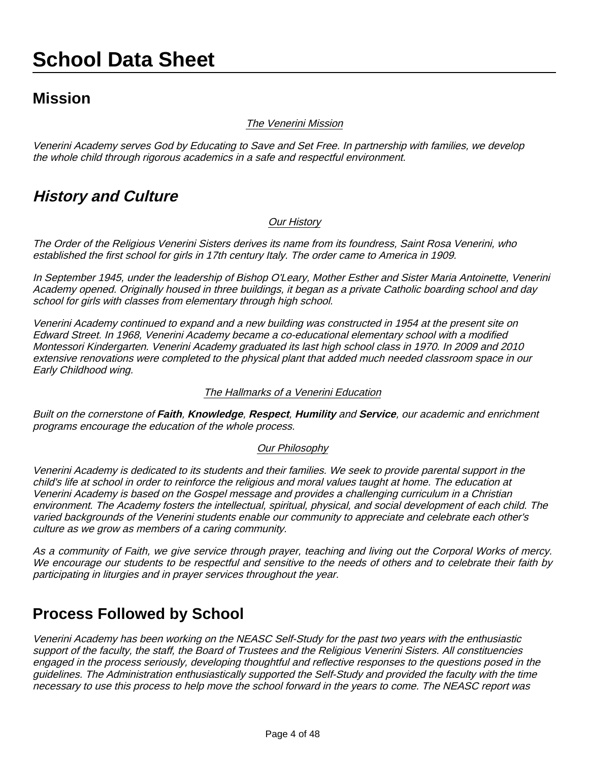# **School Data Sheet**

#### **Mission**

#### The Venerini Mission

Venerini Academy serves God by Educating to Save and Set Free. In partnership with families, we develop the whole child through rigorous academics in a safe and respectful environment.

#### **History and Culture**

#### Our History

The Order of the Religious Venerini Sisters derives its name from its foundress, Saint Rosa Venerini, who established the first school for girls in 17th century Italy. The order came to America in 1909.

In September 1945, under the leadership of Bishop O'Leary, Mother Esther and Sister Maria Antoinette, Venerini Academy opened. Originally housed in three buildings, it began as a private Catholic boarding school and day school for girls with classes from elementary through high school.

Venerini Academy continued to expand and a new building was constructed in 1954 at the present site on Edward Street. In 1968, Venerini Academy became a co-educational elementary school with a modified Montessori Kindergarten. Venerini Academy graduated its last high school class in 1970. In 2009 and 2010 extensive renovations were completed to the physical plant that added much needed classroom space in our Early Childhood wing.

#### The Hallmarks of a Venerini Education

Built on the cornerstone of **Faith**, **Knowledge**, **Respect**, **Humility** and **Service**, our academic and enrichment programs encourage the education of the whole process.

#### Our Philosophy

Venerini Academy is dedicated to its students and their families. We seek to provide parental support in the child's life at school in order to reinforce the religious and moral values taught at home. The education at Venerini Academy is based on the Gospel message and provides a challenging curriculum in a Christian environment. The Academy fosters the intellectual, spiritual, physical, and social development of each child. The varied backgrounds of the Venerini students enable our community to appreciate and celebrate each other's culture as we grow as members of a caring community.

As a community of Faith, we give service through prayer, teaching and living out the Corporal Works of mercy. We encourage our students to be respectful and sensitive to the needs of others and to celebrate their faith by participating in liturgies and in prayer services throughout the year.

#### **Process Followed by School**

Venerini Academy has been working on the NEASC Self-Study for the past two years with the enthusiastic support of the faculty, the staff, the Board of Trustees and the Religious Venerini Sisters. All constituencies engaged in the process seriously, developing thoughtful and reflective responses to the questions posed in the guidelines. The Administration enthusiastically supported the Self-Study and provided the faculty with the time necessary to use this process to help move the school forward in the years to come. The NEASC report was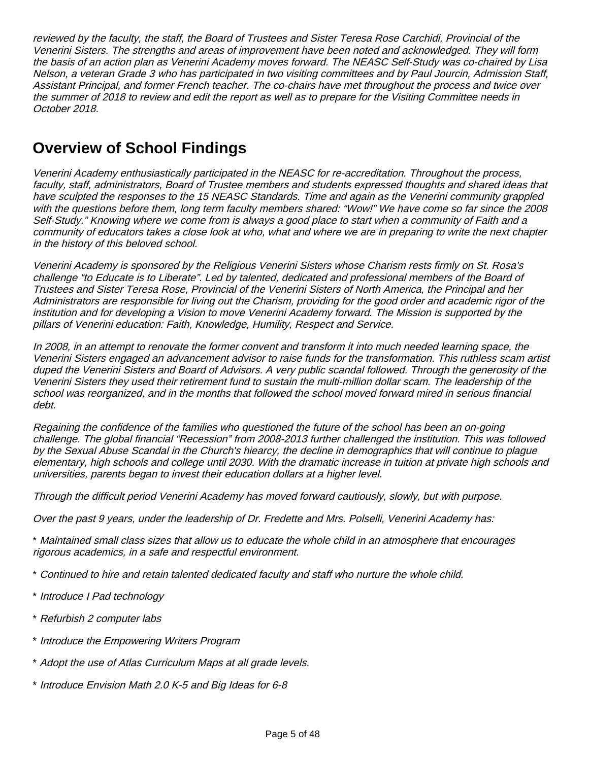reviewed by the faculty, the staff, the Board of Trustees and Sister Teresa Rose Carchidi, Provincial of the Venerini Sisters. The strengths and areas of improvement have been noted and acknowledged. They will form the basis of an action plan as Venerini Academy moves forward. The NEASC Self-Study was co-chaired by Lisa Nelson, a veteran Grade 3 who has participated in two visiting committees and by Paul Jourcin, Admission Staff, Assistant Principal, and former French teacher. The co-chairs have met throughout the process and twice over the summer of 2018 to review and edit the report as well as to prepare for the Visiting Committee needs in October 2018.

# **Overview of School Findings**

Venerini Academy enthusiastically participated in the NEASC for re-accreditation. Throughout the process, faculty, staff, administrators, Board of Trustee members and students expressed thoughts and shared ideas that have sculpted the responses to the 15 NEASC Standards. Time and again as the Venerini community grappled with the questions before them, long term faculty members shared: "Wow!" We have come so far since the 2008 Self-Study." Knowing where we come from is always a good place to start when a community of Faith and a community of educators takes a close look at who, what and where we are in preparing to write the next chapter in the history of this beloved school.

Venerini Academy is sponsored by the Religious Venerini Sisters whose Charism rests firmly on St. Rosa's challenge "to Educate is to Liberate". Led by talented, dedicated and professional members of the Board of Trustees and Sister Teresa Rose, Provincial of the Venerini Sisters of North America, the Principal and her Administrators are responsible for living out the Charism, providing for the good order and academic rigor of the institution and for developing a Vision to move Venerini Academy forward. The Mission is supported by the pillars of Venerini education: Faith, Knowledge, Humility, Respect and Service.

In 2008, in an attempt to renovate the former convent and transform it into much needed learning space, the Venerini Sisters engaged an advancement advisor to raise funds for the transformation. This ruthless scam artist duped the Venerini Sisters and Board of Advisors. A very public scandal followed. Through the generosity of the Venerini Sisters they used their retirement fund to sustain the multi-million dollar scam. The leadership of the school was reorganized, and in the months that followed the school moved forward mired in serious financial debt.

Regaining the confidence of the families who questioned the future of the school has been an on-going challenge. The global financial "Recession" from 2008-2013 further challenged the institution. This was followed by the Sexual Abuse Scandal in the Church's hiearcy, the decline in demographics that will continue to plague elementary, high schools and college until 2030. With the dramatic increase in tuition at private high schools and universities, parents began to invest their education dollars at a higher level.

Through the difficult period Venerini Academy has moved forward cautiously, slowly, but with purpose.

Over the past 9 years, under the leadership of Dr. Fredette and Mrs. Polselli, Venerini Academy has:

\* Maintained small class sizes that allow us to educate the whole child in an atmosphere that encourages rigorous academics, in a safe and respectful environment.

\* Continued to hire and retain talented dedicated faculty and staff who nurture the whole child.

- \* Introduce I Pad technology
- \* Refurbish 2 computer labs
- \* Introduce the Empowering Writers Program
- \* Adopt the use of Atlas Curriculum Maps at all grade levels.
- \* Introduce Envision Math 2.0 K-5 and Big Ideas for 6-8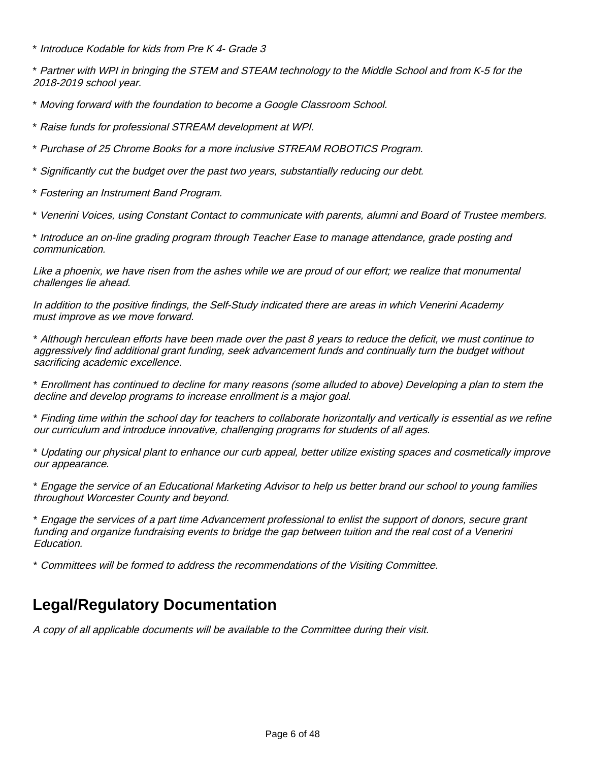\* Introduce Kodable for kids from Pre K 4- Grade 3

\* Partner with WPI in bringing the STEM and STEAM technology to the Middle School and from K-5 for the 2018-2019 school year.

\* Moving forward with the foundation to become a Google Classroom School.

\* Raise funds for professional STREAM development at WPI.

\* Purchase of 25 Chrome Books for a more inclusive STREAM ROBOTICS Program.

\* Significantly cut the budget over the past two years, substantially reducing our debt.

\* Fostering an Instrument Band Program.

\* Venerini Voices, using Constant Contact to communicate with parents, alumni and Board of Trustee members.

\* Introduce an on-line grading program through Teacher Ease to manage attendance, grade posting and communication.

Like a phoenix, we have risen from the ashes while we are proud of our effort; we realize that monumental challenges lie ahead.

In addition to the positive findings, the Self-Study indicated there are areas in which Venerini Academy must improve as we move forward.

\* Although herculean efforts have been made over the past 8 years to reduce the deficit, we must continue to aggressively find additional grant funding, seek advancement funds and continually turn the budget without sacrificing academic excellence.

\* Enrollment has continued to decline for many reasons (some alluded to above) Developing a plan to stem the decline and develop programs to increase enrollment is a major goal.

\* Finding time within the school day for teachers to collaborate horizontally and vertically is essential as we refine our curriculum and introduce innovative, challenging programs for students of all ages.

\* Updating our physical plant to enhance our curb appeal, better utilize existing spaces and cosmetically improve our appearance.

\* Engage the service of an Educational Marketing Advisor to help us better brand our school to young families throughout Worcester County and beyond.

\* Engage the services of a part time Advancement professional to enlist the support of donors, secure grant funding and organize fundraising events to bridge the gap between tuition and the real cost of a Venerini Education.

\* Committees will be formed to address the recommendations of the Visiting Committee.

#### **Legal/Regulatory Documentation**

A copy of all applicable documents will be available to the Committee during their visit.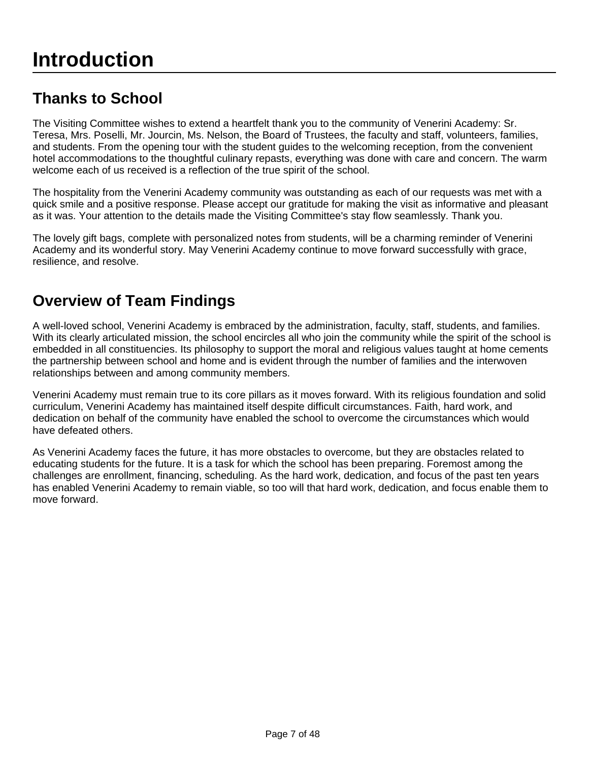# **Thanks to School**

The Visiting Committee wishes to extend a heartfelt thank you to the community of Venerini Academy: Sr. Teresa, Mrs. Poselli, Mr. Jourcin, Ms. Nelson, the Board of Trustees, the faculty and staff, volunteers, families, and students. From the opening tour with the student guides to the welcoming reception, from the convenient hotel accommodations to the thoughtful culinary repasts, everything was done with care and concern. The warm welcome each of us received is a reflection of the true spirit of the school.

The hospitality from the Venerini Academy community was outstanding as each of our requests was met with a quick smile and a positive response. Please accept our gratitude for making the visit as informative and pleasant as it was. Your attention to the details made the Visiting Committee's stay flow seamlessly. Thank you.

The lovely gift bags, complete with personalized notes from students, will be a charming reminder of Venerini Academy and its wonderful story. May Venerini Academy continue to move forward successfully with grace, resilience, and resolve.

# **Overview of Team Findings**

A well-loved school, Venerini Academy is embraced by the administration, faculty, staff, students, and families. With its clearly articulated mission, the school encircles all who join the community while the spirit of the school is embedded in all constituencies. Its philosophy to support the moral and religious values taught at home cements the partnership between school and home and is evident through the number of families and the interwoven relationships between and among community members.

Venerini Academy must remain true to its core pillars as it moves forward. With its religious foundation and solid curriculum, Venerini Academy has maintained itself despite difficult circumstances. Faith, hard work, and dedication on behalf of the community have enabled the school to overcome the circumstances which would have defeated others.

As Venerini Academy faces the future, it has more obstacles to overcome, but they are obstacles related to educating students for the future. It is a task for which the school has been preparing. Foremost among the challenges are enrollment, financing, scheduling. As the hard work, dedication, and focus of the past ten years has enabled Venerini Academy to remain viable, so too will that hard work, dedication, and focus enable them to move forward.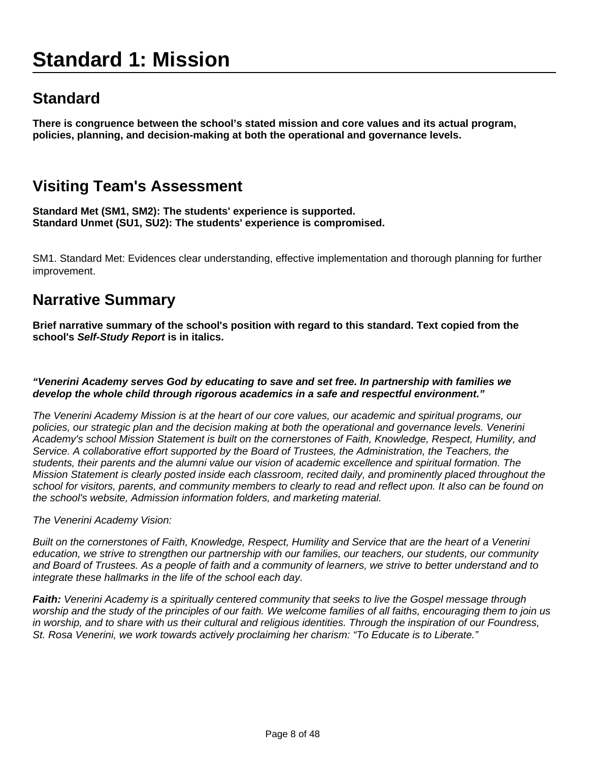# **Standard 1: Mission**

## **Standard**

**There is congruence between the school's stated mission and core values and its actual program, policies, planning, and decision-making at both the operational and governance levels.**

### **Visiting Team's Assessment**

**Standard Met (SM1, SM2): The students' experience is supported. Standard Unmet (SU1, SU2): The students' experience is compromised.**

SM1. Standard Met: Evidences clear understanding, effective implementation and thorough planning for further improvement.

#### **Narrative Summary**

**Brief narrative summary of the school's position with regard to this standard. Text copied from the school's Self-Study Report is in italics.**

#### **"Venerini Academy serves God by educating to save and set free. In partnership with families we develop the whole child through rigorous academics in a safe and respectful environment."**

The Venerini Academy Mission is at the heart of our core values, our academic and spiritual programs, our policies, our strategic plan and the decision making at both the operational and governance levels. Venerini Academy's school Mission Statement is built on the cornerstones of Faith, Knowledge, Respect, Humility, and Service. A collaborative effort supported by the Board of Trustees, the Administration, the Teachers, the students, their parents and the alumni value our vision of academic excellence and spiritual formation. The Mission Statement is clearly posted inside each classroom, recited daily, and prominently placed throughout the school for visitors, parents, and community members to clearly to read and reflect upon. It also can be found on the school's website, Admission information folders, and marketing material.

The Venerini Academy Vision:

Built on the cornerstones of Faith, Knowledge, Respect, Humility and Service that are the heart of a Venerini education, we strive to strengthen our partnership with our families, our teachers, our students, our community and Board of Trustees. As a people of faith and a community of learners, we strive to better understand and to integrate these hallmarks in the life of the school each day.

**Faith:** Venerini Academy is a spiritually centered community that seeks to live the Gospel message through worship and the study of the principles of our faith. We welcome families of all faiths, encouraging them to join us in worship, and to share with us their cultural and religious identities. Through the inspiration of our Foundress, St. Rosa Venerini, we work towards actively proclaiming her charism: "To Educate is to Liberate."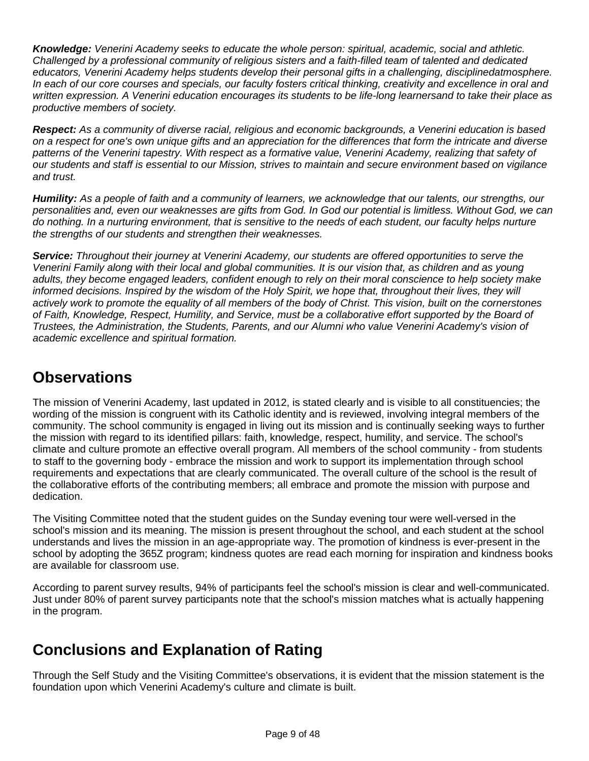**Knowledge:** Venerini Academy seeks to educate the whole person: spiritual, academic, social and athletic. Challenged by a professional community of religious sisters and a faith-filled team of talented and dedicated educators, Venerini Academy helps students develop their personal gifts in a challenging, disciplinedatmosphere. In each of our core courses and specials, our faculty fosters critical thinking, creativity and excellence in oral and written expression. A Venerini education encourages its students to be life-long learnersand to take their place as productive members of society.

**Respect:** As a community of diverse racial, religious and economic backgrounds, a Venerini education is based on a respect for one's own unique gifts and an appreciation for the differences that form the intricate and diverse patterns of the Venerini tapestry. With respect as a formative value, Venerini Academy, realizing that safety of our students and staff is essential to our Mission, strives to maintain and secure environment based on vigilance and trust.

**Humility:** As a people of faith and a community of learners, we acknowledge that our talents, our strengths, our personalities and, even our weaknesses are gifts from God. In God our potential is limitless. Without God, we can do nothing. In a nurturing environment, that is sensitive to the needs of each student, our faculty helps nurture the strengths of our students and strengthen their weaknesses.

**Service:** Throughout their journey at Venerini Academy, our students are offered opportunities to serve the Venerini Family along with their local and global communities. It is our vision that, as children and as young adults, they become engaged leaders, confident enough to rely on their moral conscience to help society make informed decisions. Inspired by the wisdom of the Holy Spirit, we hope that, throughout their lives, they will actively work to promote the equality of all members of the body of Christ. This vision, built on the cornerstones of Faith, Knowledge, Respect, Humility, and Service, must be a collaborative effort supported by the Board of Trustees, the Administration, the Students, Parents, and our Alumni who value Venerini Academy's vision of academic excellence and spiritual formation.

# **Observations**

The mission of Venerini Academy, last updated in 2012, is stated clearly and is visible to all constituencies; the wording of the mission is congruent with its Catholic identity and is reviewed, involving integral members of the community. The school community is engaged in living out its mission and is continually seeking ways to further the mission with regard to its identified pillars: faith, knowledge, respect, humility, and service. The school's climate and culture promote an effective overall program. All members of the school community - from students to staff to the governing body - embrace the mission and work to support its implementation through school requirements and expectations that are clearly communicated. The overall culture of the school is the result of the collaborative efforts of the contributing members; all embrace and promote the mission with purpose and dedication.

The Visiting Committee noted that the student guides on the Sunday evening tour were well-versed in the school's mission and its meaning. The mission is present throughout the school, and each student at the school understands and lives the mission in an age-appropriate way. The promotion of kindness is ever-present in the school by adopting the 365Z program; kindness quotes are read each morning for inspiration and kindness books are available for classroom use.

According to parent survey results, 94% of participants feel the school's mission is clear and well-communicated. Just under 80% of parent survey participants note that the school's mission matches what is actually happening in the program.

# **Conclusions and Explanation of Rating**

Through the Self Study and the Visiting Committee's observations, it is evident that the mission statement is the foundation upon which Venerini Academy's culture and climate is built.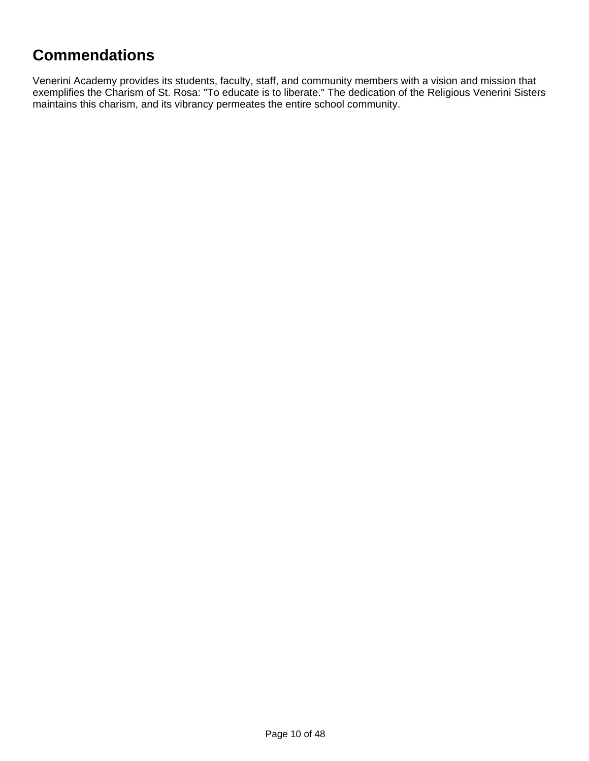### **Commendations**

Venerini Academy provides its students, faculty, staff, and community members with a vision and mission that exemplifies the Charism of St. Rosa: "To educate is to liberate." The dedication of the Religious Venerini Sisters maintains this charism, and its vibrancy permeates the entire school community.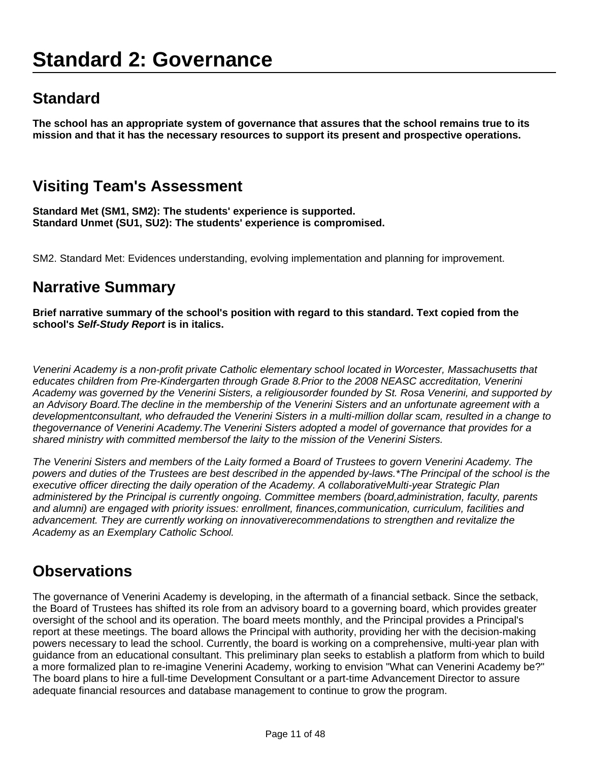# **Standard 2: Governance**

## **Standard**

**The school has an appropriate system of governance that assures that the school remains true to its mission and that it has the necessary resources to support its present and prospective operations.**

### **Visiting Team's Assessment**

**Standard Met (SM1, SM2): The students' experience is supported. Standard Unmet (SU1, SU2): The students' experience is compromised.**

SM2. Standard Met: Evidences understanding, evolving implementation and planning for improvement.

#### **Narrative Summary**

**Brief narrative summary of the school's position with regard to this standard. Text copied from the school's Self-Study Report is in italics.**

Venerini Academy is a non-profit private Catholic elementary school located in Worcester, Massachusetts that educates children from Pre-Kindergarten through Grade 8.Prior to the 2008 NEASC accreditation, Venerini Academy was governed by the Venerini Sisters, a religiousorder founded by St. Rosa Venerini, and supported by an Advisory Board.The decline in the membership of the Venerini Sisters and an unfortunate agreement with a developmentconsultant, who defrauded the Venerini Sisters in a multi-million dollar scam, resulted in a change to thegovernance of Venerini Academy.The Venerini Sisters adopted a model of governance that provides for a shared ministry with committed membersof the laity to the mission of the Venerini Sisters.

The Venerini Sisters and members of the Laity formed a Board of Trustees to govern Venerini Academy. The powers and duties of the Trustees are best described in the appended by-laws.\*The Principal of the school is the executive officer directing the daily operation of the Academy. A collaborativeMulti-year Strategic Plan administered by the Principal is currently ongoing. Committee members (board,administration, faculty, parents and alumni) are engaged with priority issues: enrollment, finances,communication, curriculum, facilities and advancement. They are currently working on innovativerecommendations to strengthen and revitalize the Academy as an Exemplary Catholic School.

#### **Observations**

The governance of Venerini Academy is developing, in the aftermath of a financial setback. Since the setback, the Board of Trustees has shifted its role from an advisory board to a governing board, which provides greater oversight of the school and its operation. The board meets monthly, and the Principal provides a Principal's report at these meetings. The board allows the Principal with authority, providing her with the decision-making powers necessary to lead the school. Currently, the board is working on a comprehensive, multi-year plan with guidance from an educational consultant. This preliminary plan seeks to establish a platform from which to build a more formalized plan to re-imagine Venerini Academy, working to envision "What can Venerini Academy be?" The board plans to hire a full-time Development Consultant or a part-time Advancement Director to assure adequate financial resources and database management to continue to grow the program.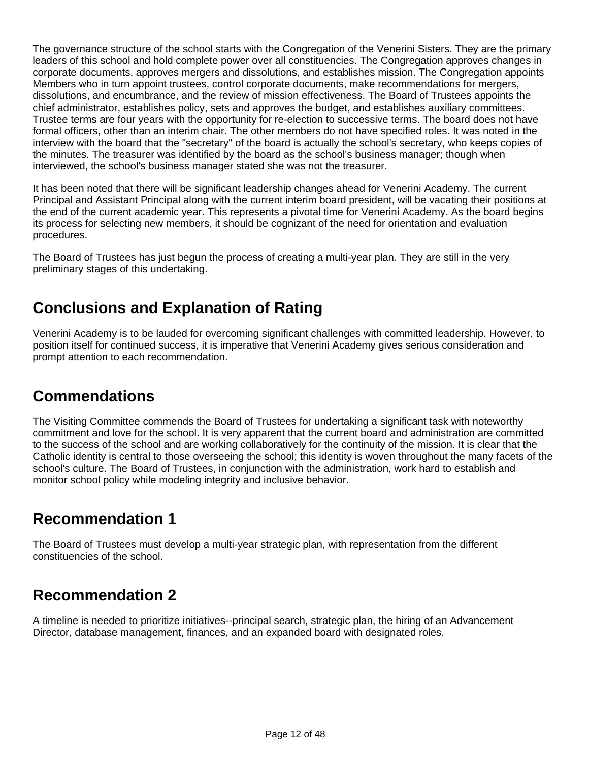The governance structure of the school starts with the Congregation of the Venerini Sisters. They are the primary leaders of this school and hold complete power over all constituencies. The Congregation approves changes in corporate documents, approves mergers and dissolutions, and establishes mission. The Congregation appoints Members who in turn appoint trustees, control corporate documents, make recommendations for mergers, dissolutions, and encumbrance, and the review of mission effectiveness. The Board of Trustees appoints the chief administrator, establishes policy, sets and approves the budget, and establishes auxiliary committees. Trustee terms are four years with the opportunity for re-election to successive terms. The board does not have formal officers, other than an interim chair. The other members do not have specified roles. It was noted in the interview with the board that the "secretary" of the board is actually the school's secretary, who keeps copies of the minutes. The treasurer was identified by the board as the school's business manager; though when interviewed, the school's business manager stated she was not the treasurer.

It has been noted that there will be significant leadership changes ahead for Venerini Academy. The current Principal and Assistant Principal along with the current interim board president, will be vacating their positions at the end of the current academic year. This represents a pivotal time for Venerini Academy. As the board begins its process for selecting new members, it should be cognizant of the need for orientation and evaluation procedures.

The Board of Trustees has just begun the process of creating a multi-year plan. They are still in the very preliminary stages of this undertaking.

### **Conclusions and Explanation of Rating**

Venerini Academy is to be lauded for overcoming significant challenges with committed leadership. However, to position itself for continued success, it is imperative that Venerini Academy gives serious consideration and prompt attention to each recommendation.

# **Commendations**

The Visiting Committee commends the Board of Trustees for undertaking a significant task with noteworthy commitment and love for the school. It is very apparent that the current board and administration are committed to the success of the school and are working collaboratively for the continuity of the mission. It is clear that the Catholic identity is central to those overseeing the school; this identity is woven throughout the many facets of the school's culture. The Board of Trustees, in conjunction with the administration, work hard to establish and monitor school policy while modeling integrity and inclusive behavior.

# **Recommendation 1**

The Board of Trustees must develop a multi-year strategic plan, with representation from the different constituencies of the school.

#### **Recommendation 2**

A timeline is needed to prioritize initiatives--principal search, strategic plan, the hiring of an Advancement Director, database management, finances, and an expanded board with designated roles.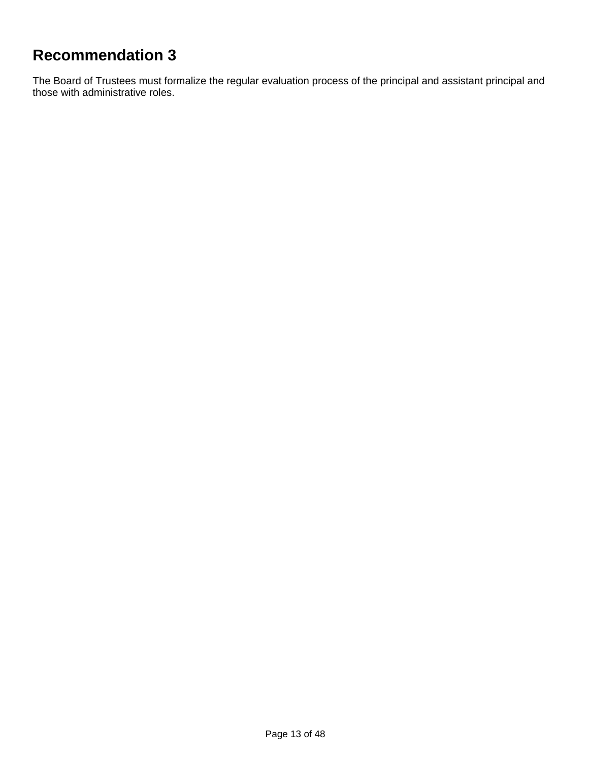# **Recommendation 3**

The Board of Trustees must formalize the regular evaluation process of the principal and assistant principal and those with administrative roles.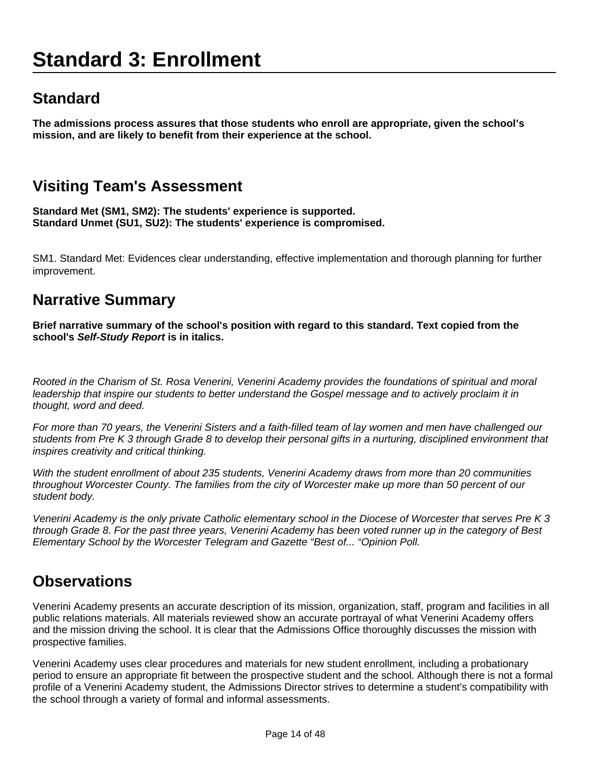# **Standard 3: Enrollment**

# **Standard**

**The admissions process assures that those students who enroll are appropriate, given the school's mission, and are likely to benefit from their experience at the school.**

# **Visiting Team's Assessment**

**Standard Met (SM1, SM2): The students' experience is supported. Standard Unmet (SU1, SU2): The students' experience is compromised.**

SM1. Standard Met: Evidences clear understanding, effective implementation and thorough planning for further improvement.

#### **Narrative Summary**

**Brief narrative summary of the school's position with regard to this standard. Text copied from the school's Self-Study Report is in italics.**

Rooted in the Charism of St. Rosa Venerini, Venerini Academy provides the foundations of spiritual and moral leadership that inspire our students to better understand the Gospel message and to actively proclaim it in thought, word and deed.

For more than 70 years, the Venerini Sisters and a faith-filled team of lay women and men have challenged our students from Pre K 3 through Grade 8 to develop their personal gifts in a nurturing, disciplined environment that inspires creativity and critical thinking.

With the student enrollment of about 235 students, Venerini Academy draws from more than 20 communities throughout Worcester County. The families from the city of Worcester make up more than 50 percent of our student body.

Venerini Academy is the only private Catholic elementary school in the Diocese of Worcester that serves Pre K 3 through Grade 8. For the past three years, Venerini Academy has been voted runner up in the category of Best Elementary School by the Worcester Telegram and Gazette "Best of... "Opinion Poll.

#### **Observations**

Venerini Academy presents an accurate description of its mission, organization, staff, program and facilities in all public relations materials. All materials reviewed show an accurate portrayal of what Venerini Academy offers and the mission driving the school. It is clear that the Admissions Office thoroughly discusses the mission with prospective families.

Venerini Academy uses clear procedures and materials for new student enrollment, including a probationary period to ensure an appropriate fit between the prospective student and the school. Although there is not a formal profile of a Venerini Academy student, the Admissions Director strives to determine a student's compatibility with the school through a variety of formal and informal assessments.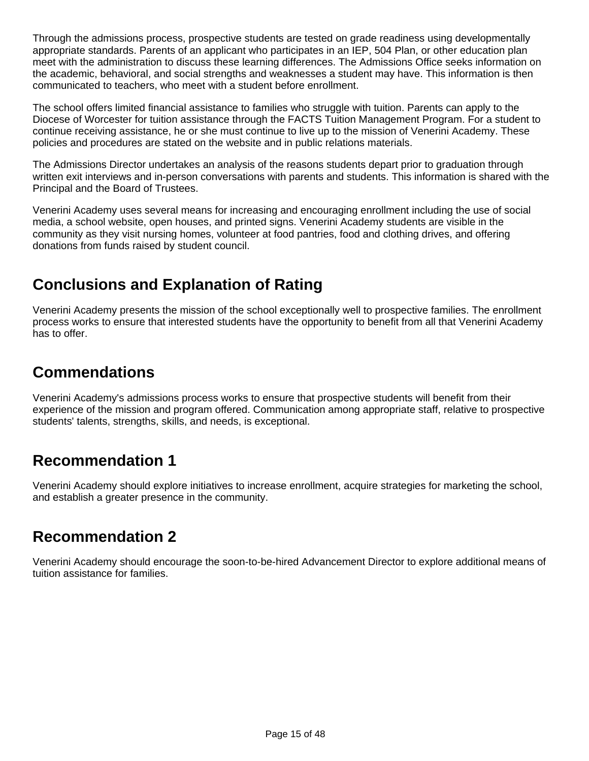Through the admissions process, prospective students are tested on grade readiness using developmentally appropriate standards. Parents of an applicant who participates in an IEP, 504 Plan, or other education plan meet with the administration to discuss these learning differences. The Admissions Office seeks information on the academic, behavioral, and social strengths and weaknesses a student may have. This information is then communicated to teachers, who meet with a student before enrollment.

The school offers limited financial assistance to families who struggle with tuition. Parents can apply to the Diocese of Worcester for tuition assistance through the FACTS Tuition Management Program. For a student to continue receiving assistance, he or she must continue to live up to the mission of Venerini Academy. These policies and procedures are stated on the website and in public relations materials.

The Admissions Director undertakes an analysis of the reasons students depart prior to graduation through written exit interviews and in-person conversations with parents and students. This information is shared with the Principal and the Board of Trustees.

Venerini Academy uses several means for increasing and encouraging enrollment including the use of social media, a school website, open houses, and printed signs. Venerini Academy students are visible in the community as they visit nursing homes, volunteer at food pantries, food and clothing drives, and offering donations from funds raised by student council.

# **Conclusions and Explanation of Rating**

Venerini Academy presents the mission of the school exceptionally well to prospective families. The enrollment process works to ensure that interested students have the opportunity to benefit from all that Venerini Academy has to offer.

### **Commendations**

Venerini Academy's admissions process works to ensure that prospective students will benefit from their experience of the mission and program offered. Communication among appropriate staff, relative to prospective students' talents, strengths, skills, and needs, is exceptional.

# **Recommendation 1**

Venerini Academy should explore initiatives to increase enrollment, acquire strategies for marketing the school, and establish a greater presence in the community.

#### **Recommendation 2**

Venerini Academy should encourage the soon-to-be-hired Advancement Director to explore additional means of tuition assistance for families.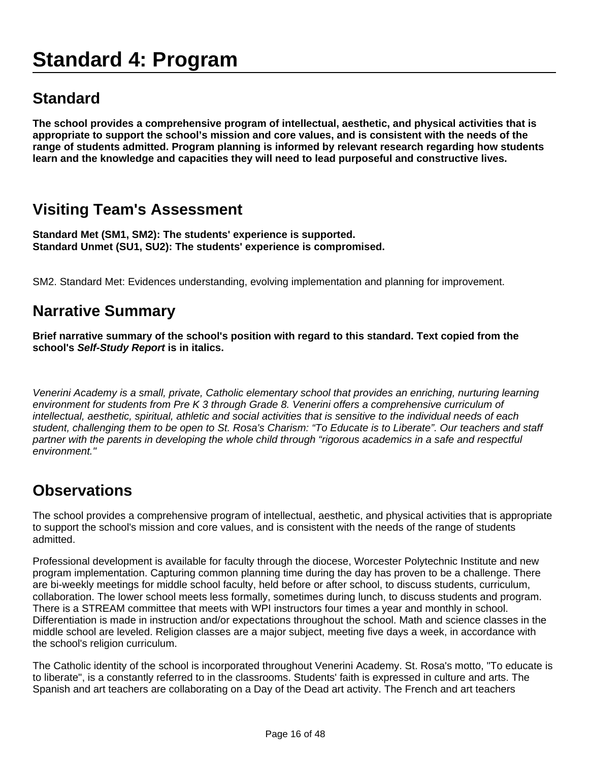# **Standard 4: Program**

#### **Standard**

**The school provides a comprehensive program of intellectual, aesthetic, and physical activities that is appropriate to support the school's mission and core values, and is consistent with the needs of the range of students admitted. Program planning is informed by relevant research regarding how students learn and the knowledge and capacities they will need to lead purposeful and constructive lives.**

#### **Visiting Team's Assessment**

**Standard Met (SM1, SM2): The students' experience is supported. Standard Unmet (SU1, SU2): The students' experience is compromised.**

SM2. Standard Met: Evidences understanding, evolving implementation and planning for improvement.

#### **Narrative Summary**

**Brief narrative summary of the school's position with regard to this standard. Text copied from the school's Self-Study Report is in italics.**

Venerini Academy is a small, private, Catholic elementary school that provides an enriching, nurturing learning environment for students from Pre K 3 through Grade 8. Venerini offers a comprehensive curriculum of intellectual, aesthetic, spiritual, athletic and social activities that is sensitive to the individual needs of each student, challenging them to be open to St. Rosa's Charism: "To Educate is to Liberate". Our teachers and staff partner with the parents in developing the whole child through "rigorous academics in a safe and respectful environment."

#### **Observations**

The school provides a comprehensive program of intellectual, aesthetic, and physical activities that is appropriate to support the school's mission and core values, and is consistent with the needs of the range of students admitted.

Professional development is available for faculty through the diocese, Worcester Polytechnic Institute and new program implementation. Capturing common planning time during the day has proven to be a challenge. There are bi-weekly meetings for middle school faculty, held before or after school, to discuss students, curriculum, collaboration. The lower school meets less formally, sometimes during lunch, to discuss students and program. There is a STREAM committee that meets with WPI instructors four times a year and monthly in school. Differentiation is made in instruction and/or expectations throughout the school. Math and science classes in the middle school are leveled. Religion classes are a major subject, meeting five days a week, in accordance with the school's religion curriculum.

The Catholic identity of the school is incorporated throughout Venerini Academy. St. Rosa's motto, "To educate is to liberate", is a constantly referred to in the classrooms. Students' faith is expressed in culture and arts. The Spanish and art teachers are collaborating on a Day of the Dead art activity. The French and art teachers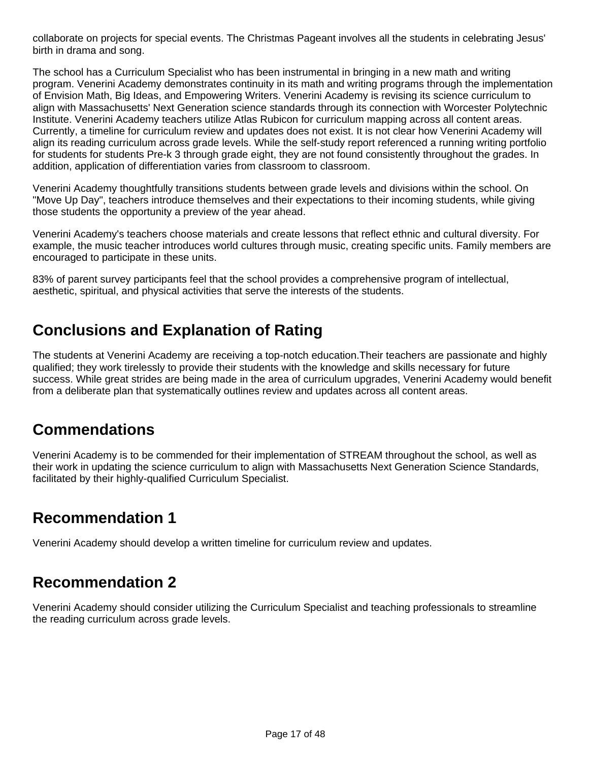collaborate on projects for special events. The Christmas Pageant involves all the students in celebrating Jesus' birth in drama and song.

The school has a Curriculum Specialist who has been instrumental in bringing in a new math and writing program. Venerini Academy demonstrates continuity in its math and writing programs through the implementation of Envision Math, Big Ideas, and Empowering Writers. Venerini Academy is revising its science curriculum to align with Massachusetts' Next Generation science standards through its connection with Worcester Polytechnic Institute. Venerini Academy teachers utilize Atlas Rubicon for curriculum mapping across all content areas. Currently, a timeline for curriculum review and updates does not exist. It is not clear how Venerini Academy will align its reading curriculum across grade levels. While the self-study report referenced a running writing portfolio for students for students Pre-k 3 through grade eight, they are not found consistently throughout the grades. In addition, application of differentiation varies from classroom to classroom.

Venerini Academy thoughtfully transitions students between grade levels and divisions within the school. On "Move Up Day", teachers introduce themselves and their expectations to their incoming students, while giving those students the opportunity a preview of the year ahead.

Venerini Academy's teachers choose materials and create lessons that reflect ethnic and cultural diversity. For example, the music teacher introduces world cultures through music, creating specific units. Family members are encouraged to participate in these units.

83% of parent survey participants feel that the school provides a comprehensive program of intellectual, aesthetic, spiritual, and physical activities that serve the interests of the students.

# **Conclusions and Explanation of Rating**

The students at Venerini Academy are receiving a top-notch education.Their teachers are passionate and highly qualified; they work tirelessly to provide their students with the knowledge and skills necessary for future success. While great strides are being made in the area of curriculum upgrades, Venerini Academy would benefit from a deliberate plan that systematically outlines review and updates across all content areas.

#### **Commendations**

Venerini Academy is to be commended for their implementation of STREAM throughout the school, as well as their work in updating the science curriculum to align with Massachusetts Next Generation Science Standards, facilitated by their highly-qualified Curriculum Specialist.

#### **Recommendation 1**

Venerini Academy should develop a written timeline for curriculum review and updates.

#### **Recommendation 2**

Venerini Academy should consider utilizing the Curriculum Specialist and teaching professionals to streamline the reading curriculum across grade levels.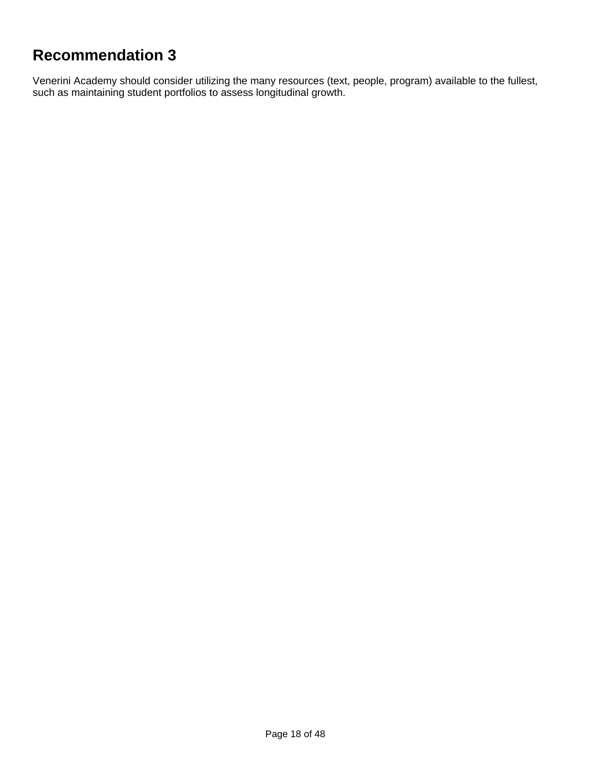# **Recommendation 3**

Venerini Academy should consider utilizing the many resources (text, people, program) available to the fullest, such as maintaining student portfolios to assess longitudinal growth.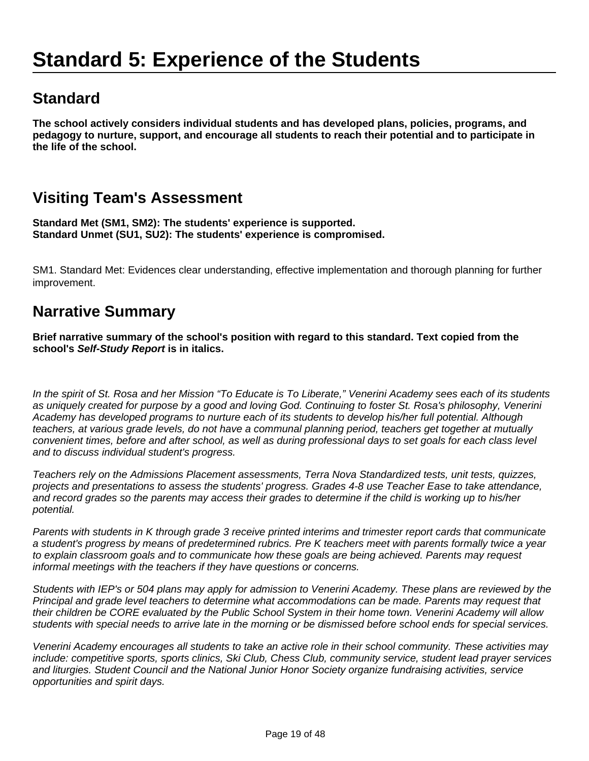# **Standard**

**The school actively considers individual students and has developed plans, policies, programs, and pedagogy to nurture, support, and encourage all students to reach their potential and to participate in the life of the school.**

# **Visiting Team's Assessment**

**Standard Met (SM1, SM2): The students' experience is supported. Standard Unmet (SU1, SU2): The students' experience is compromised.**

SM1. Standard Met: Evidences clear understanding, effective implementation and thorough planning for further improvement.

### **Narrative Summary**

**Brief narrative summary of the school's position with regard to this standard. Text copied from the school's Self-Study Report is in italics.**

In the spirit of St. Rosa and her Mission "To Educate is To Liberate," Venerini Academy sees each of its students as uniquely created for purpose by a good and loving God. Continuing to foster St. Rosa's philosophy, Venerini Academy has developed programs to nurture each of its students to develop his/her full potential. Although teachers, at various grade levels, do not have a communal planning period, teachers get together at mutually convenient times, before and after school, as well as during professional days to set goals for each class level and to discuss individual student's progress.

Teachers rely on the Admissions Placement assessments, Terra Nova Standardized tests, unit tests, quizzes, projects and presentations to assess the students' progress. Grades 4-8 use Teacher Ease to take attendance, and record grades so the parents may access their grades to determine if the child is working up to his/her potential.

Parents with students in K through grade 3 receive printed interims and trimester report cards that communicate a student's progress by means of predetermined rubrics. Pre K teachers meet with parents formally twice a year to explain classroom goals and to communicate how these goals are being achieved. Parents may request informal meetings with the teachers if they have questions or concerns.

Students with IEP's or 504 plans may apply for admission to Venerini Academy. These plans are reviewed by the Principal and grade level teachers to determine what accommodations can be made. Parents may request that their children be CORE evaluated by the Public School System in their home town. Venerini Academy will allow students with special needs to arrive late in the morning or be dismissed before school ends for special services.

Venerini Academy encourages all students to take an active role in their school community. These activities may include: competitive sports, sports clinics, Ski Club, Chess Club, community service, student lead prayer services and liturgies. Student Council and the National Junior Honor Society organize fundraising activities, service opportunities and spirit days.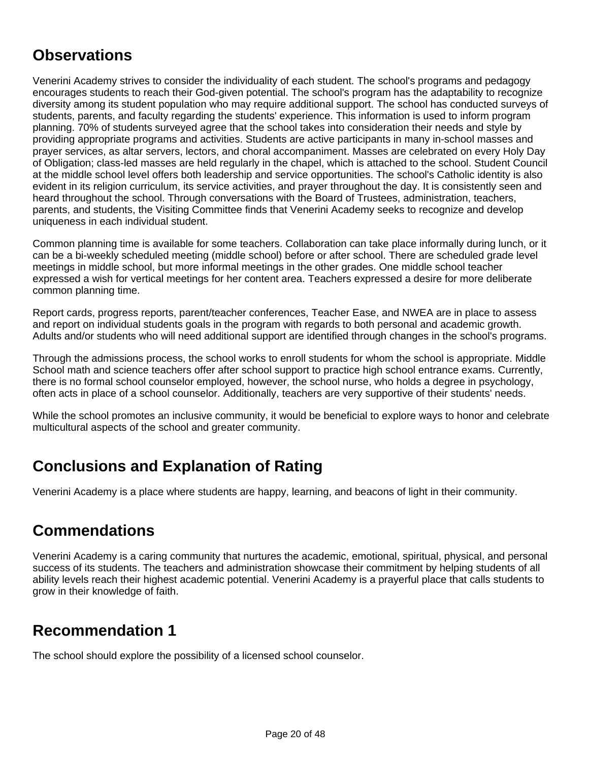### **Observations**

Venerini Academy strives to consider the individuality of each student. The school's programs and pedagogy encourages students to reach their God-given potential. The school's program has the adaptability to recognize diversity among its student population who may require additional support. The school has conducted surveys of students, parents, and faculty regarding the students' experience. This information is used to inform program planning. 70% of students surveyed agree that the school takes into consideration their needs and style by providing appropriate programs and activities. Students are active participants in many in-school masses and prayer services, as altar servers, lectors, and choral accompaniment. Masses are celebrated on every Holy Day of Obligation; class-led masses are held regularly in the chapel, which is attached to the school. Student Council at the middle school level offers both leadership and service opportunities. The school's Catholic identity is also evident in its religion curriculum, its service activities, and prayer throughout the day. It is consistently seen and heard throughout the school. Through conversations with the Board of Trustees, administration, teachers, parents, and students, the Visiting Committee finds that Venerini Academy seeks to recognize and develop uniqueness in each individual student.

Common planning time is available for some teachers. Collaboration can take place informally during lunch, or it can be a bi-weekly scheduled meeting (middle school) before or after school. There are scheduled grade level meetings in middle school, but more informal meetings in the other grades. One middle school teacher expressed a wish for vertical meetings for her content area. Teachers expressed a desire for more deliberate common planning time.

Report cards, progress reports, parent/teacher conferences, Teacher Ease, and NWEA are in place to assess and report on individual students goals in the program with regards to both personal and academic growth. Adults and/or students who will need additional support are identified through changes in the school's programs.

Through the admissions process, the school works to enroll students for whom the school is appropriate. Middle School math and science teachers offer after school support to practice high school entrance exams. Currently, there is no formal school counselor employed, however, the school nurse, who holds a degree in psychology, often acts in place of a school counselor. Additionally, teachers are very supportive of their students' needs.

While the school promotes an inclusive community, it would be beneficial to explore ways to honor and celebrate multicultural aspects of the school and greater community.

# **Conclusions and Explanation of Rating**

Venerini Academy is a place where students are happy, learning, and beacons of light in their community.

#### **Commendations**

Venerini Academy is a caring community that nurtures the academic, emotional, spiritual, physical, and personal success of its students. The teachers and administration showcase their commitment by helping students of all ability levels reach their highest academic potential. Venerini Academy is a prayerful place that calls students to grow in their knowledge of faith.

#### **Recommendation 1**

The school should explore the possibility of a licensed school counselor.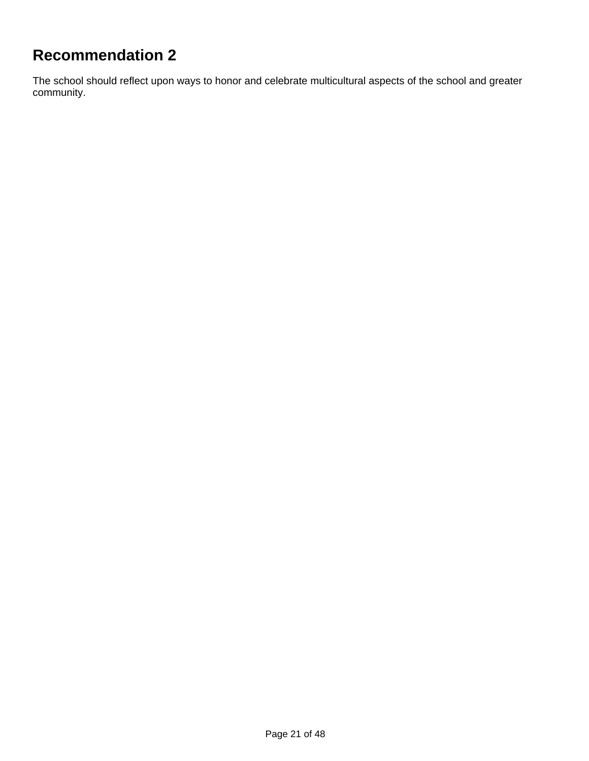# **Recommendation 2**

The school should reflect upon ways to honor and celebrate multicultural aspects of the school and greater community.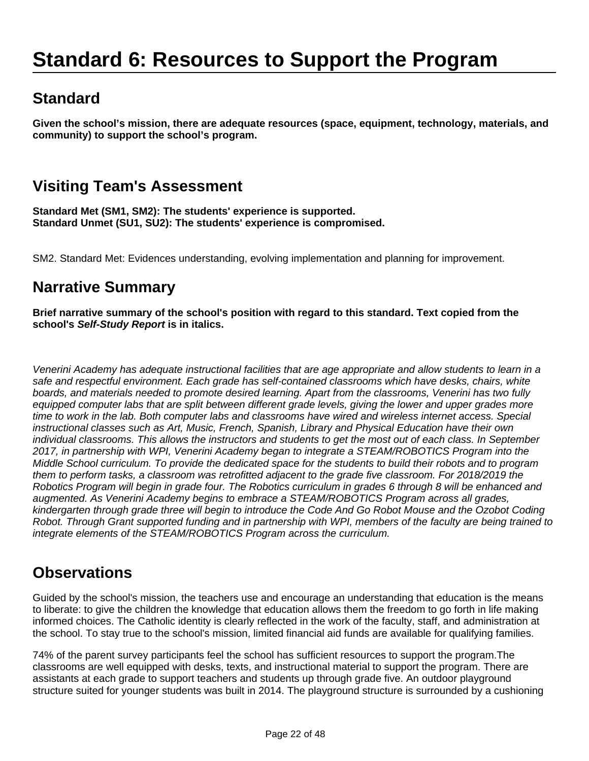# **Standard 6: Resources to Support the Program**

# **Standard**

**Given the school's mission, there are adequate resources (space, equipment, technology, materials, and community) to support the school's program.**

# **Visiting Team's Assessment**

**Standard Met (SM1, SM2): The students' experience is supported. Standard Unmet (SU1, SU2): The students' experience is compromised.**

SM2. Standard Met: Evidences understanding, evolving implementation and planning for improvement.

#### **Narrative Summary**

**Brief narrative summary of the school's position with regard to this standard. Text copied from the school's Self-Study Report is in italics.**

Venerini Academy has adequate instructional facilities that are age appropriate and allow students to learn in a safe and respectful environment. Each grade has self-contained classrooms which have desks, chairs, white boards, and materials needed to promote desired learning. Apart from the classrooms, Venerini has two fully equipped computer labs that are split between different grade levels, giving the lower and upper grades more time to work in the lab. Both computer labs and classrooms have wired and wireless internet access. Special instructional classes such as Art, Music, French, Spanish, Library and Physical Education have their own individual classrooms. This allows the instructors and students to get the most out of each class. In September 2017, in partnership with WPI, Venerini Academy began to integrate a STEAM/ROBOTICS Program into the Middle School curriculum. To provide the dedicated space for the students to build their robots and to program them to perform tasks, a classroom was retrofitted adjacent to the grade five classroom. For 2018/2019 the Robotics Program will begin in grade four. The Robotics curriculum in grades 6 through 8 will be enhanced and augmented. As Venerini Academy begins to embrace a STEAM/ROBOTICS Program across all grades, kindergarten through grade three will begin to introduce the Code And Go Robot Mouse and the Ozobot Coding Robot. Through Grant supported funding and in partnership with WPI, members of the faculty are being trained to integrate elements of the STEAM/ROBOTICS Program across the curriculum.

#### **Observations**

Guided by the school's mission, the teachers use and encourage an understanding that education is the means to liberate: to give the children the knowledge that education allows them the freedom to go forth in life making informed choices. The Catholic identity is clearly reflected in the work of the faculty, staff, and administration at the school. To stay true to the school's mission, limited financial aid funds are available for qualifying families.

74% of the parent survey participants feel the school has sufficient resources to support the program.The classrooms are well equipped with desks, texts, and instructional material to support the program. There are assistants at each grade to support teachers and students up through grade five. An outdoor playground structure suited for younger students was built in 2014. The playground structure is surrounded by a cushioning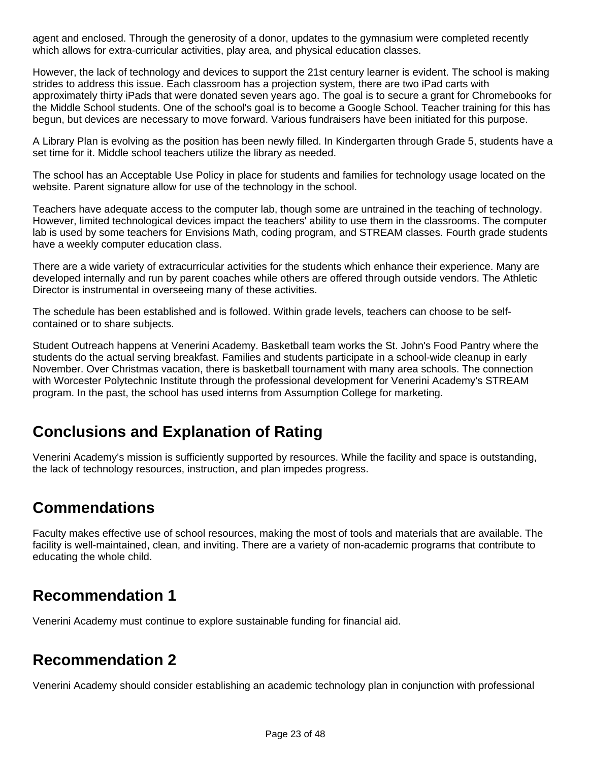agent and enclosed. Through the generosity of a donor, updates to the gymnasium were completed recently which allows for extra-curricular activities, play area, and physical education classes.

However, the lack of technology and devices to support the 21st century learner is evident. The school is making strides to address this issue. Each classroom has a projection system, there are two iPad carts with approximately thirty iPads that were donated seven years ago. The goal is to secure a grant for Chromebooks for the Middle School students. One of the school's goal is to become a Google School. Teacher training for this has begun, but devices are necessary to move forward. Various fundraisers have been initiated for this purpose.

A Library Plan is evolving as the position has been newly filled. In Kindergarten through Grade 5, students have a set time for it. Middle school teachers utilize the library as needed.

The school has an Acceptable Use Policy in place for students and families for technology usage located on the website. Parent signature allow for use of the technology in the school.

Teachers have adequate access to the computer lab, though some are untrained in the teaching of technology. However, limited technological devices impact the teachers' ability to use them in the classrooms. The computer lab is used by some teachers for Envisions Math, coding program, and STREAM classes. Fourth grade students have a weekly computer education class.

There are a wide variety of extracurricular activities for the students which enhance their experience. Many are developed internally and run by parent coaches while others are offered through outside vendors. The Athletic Director is instrumental in overseeing many of these activities.

The schedule has been established and is followed. Within grade levels, teachers can choose to be selfcontained or to share subjects.

Student Outreach happens at Venerini Academy. Basketball team works the St. John's Food Pantry where the students do the actual serving breakfast. Families and students participate in a school-wide cleanup in early November. Over Christmas vacation, there is basketball tournament with many area schools. The connection with Worcester Polytechnic Institute through the professional development for Venerini Academy's STREAM program. In the past, the school has used interns from Assumption College for marketing.

# **Conclusions and Explanation of Rating**

Venerini Academy's mission is sufficiently supported by resources. While the facility and space is outstanding, the lack of technology resources, instruction, and plan impedes progress.

#### **Commendations**

Faculty makes effective use of school resources, making the most of tools and materials that are available. The facility is well-maintained, clean, and inviting. There are a variety of non-academic programs that contribute to educating the whole child.

#### **Recommendation 1**

Venerini Academy must continue to explore sustainable funding for financial aid.

#### **Recommendation 2**

Venerini Academy should consider establishing an academic technology plan in conjunction with professional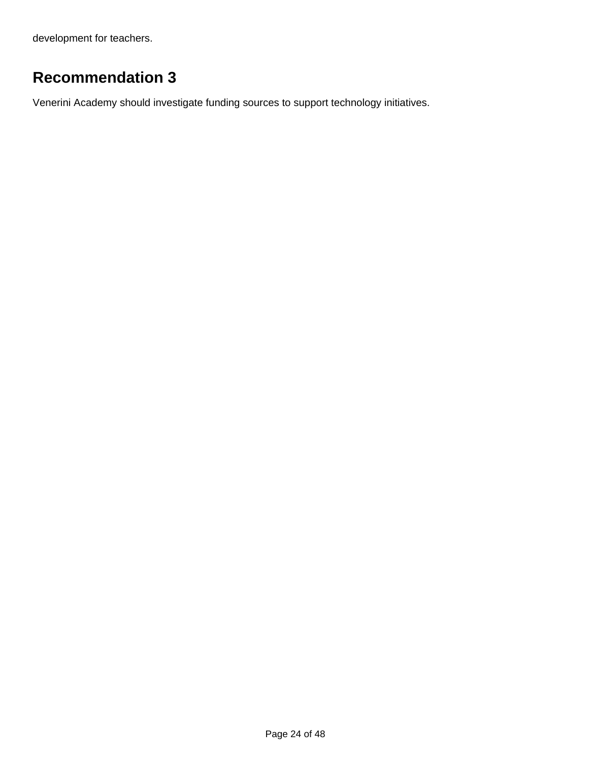development for teachers.

# **Recommendation 3**

Venerini Academy should investigate funding sources to support technology initiatives.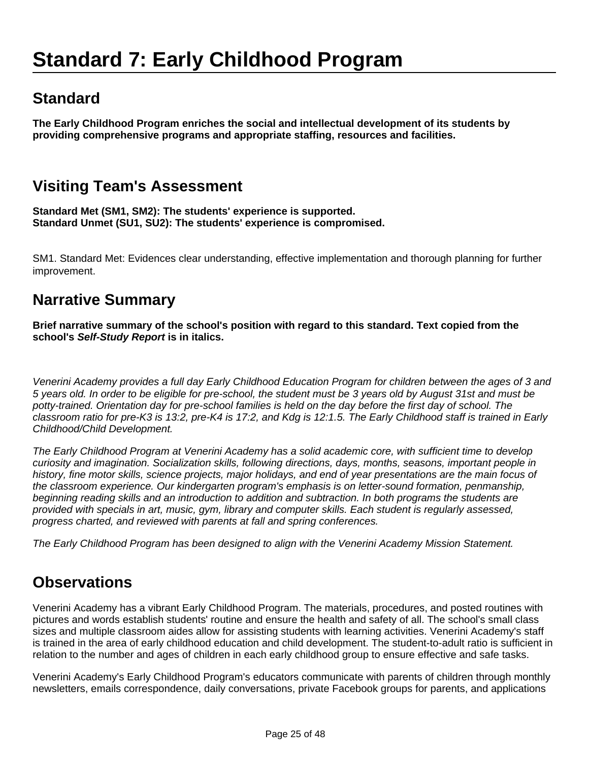# **Standard**

**The Early Childhood Program enriches the social and intellectual development of its students by providing comprehensive programs and appropriate staffing, resources and facilities.**

# **Visiting Team's Assessment**

**Standard Met (SM1, SM2): The students' experience is supported. Standard Unmet (SU1, SU2): The students' experience is compromised.**

SM1. Standard Met: Evidences clear understanding, effective implementation and thorough planning for further improvement.

#### **Narrative Summary**

**Brief narrative summary of the school's position with regard to this standard. Text copied from the school's Self-Study Report is in italics.**

Venerini Academy provides a full day Early Childhood Education Program for children between the ages of 3 and 5 years old. In order to be eligible for pre-school, the student must be 3 years old by August 31st and must be potty-trained. Orientation day for pre-school families is held on the day before the first day of school. The classroom ratio for pre-K3 is 13:2, pre-K4 is 17:2, and Kdg is 12:1.5. The Early Childhood staff is trained in Early Childhood/Child Development.

The Early Childhood Program at Venerini Academy has a solid academic core, with sufficient time to develop curiosity and imagination. Socialization skills, following directions, days, months, seasons, important people in history, fine motor skills, science projects, major holidays, and end of year presentations are the main focus of the classroom experience. Our kindergarten program's emphasis is on letter-sound formation, penmanship, beginning reading skills and an introduction to addition and subtraction. In both programs the students are provided with specials in art, music, gym, library and computer skills. Each student is regularly assessed, progress charted, and reviewed with parents at fall and spring conferences.

The Early Childhood Program has been designed to align with the Venerini Academy Mission Statement.

# **Observations**

Venerini Academy has a vibrant Early Childhood Program. The materials, procedures, and posted routines with pictures and words establish students' routine and ensure the health and safety of all. The school's small class sizes and multiple classroom aides allow for assisting students with learning activities. Venerini Academy's staff is trained in the area of early childhood education and child development. The student-to-adult ratio is sufficient in relation to the number and ages of children in each early childhood group to ensure effective and safe tasks.

Venerini Academy's Early Childhood Program's educators communicate with parents of children through monthly newsletters, emails correspondence, daily conversations, private Facebook groups for parents, and applications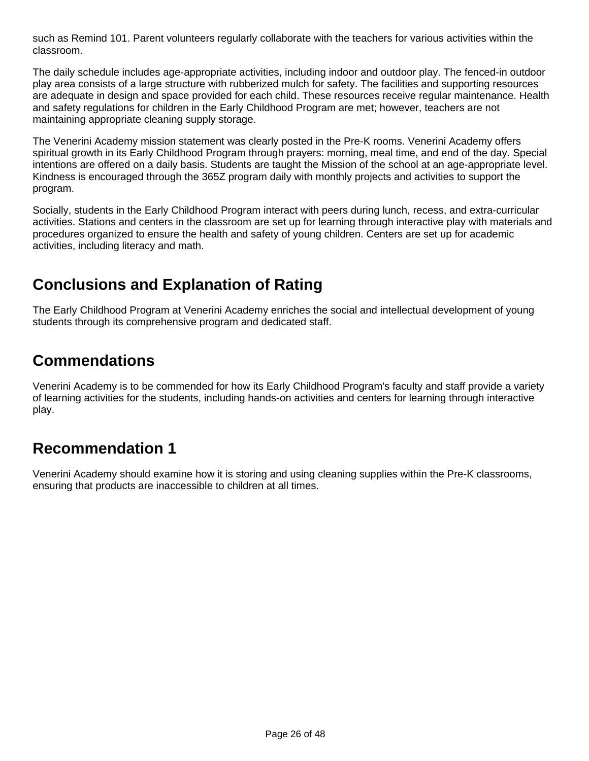such as Remind 101. Parent volunteers regularly collaborate with the teachers for various activities within the classroom.

The daily schedule includes age-appropriate activities, including indoor and outdoor play. The fenced-in outdoor play area consists of a large structure with rubberized mulch for safety. The facilities and supporting resources are adequate in design and space provided for each child. These resources receive regular maintenance. Health and safety regulations for children in the Early Childhood Program are met; however, teachers are not maintaining appropriate cleaning supply storage.

The Venerini Academy mission statement was clearly posted in the Pre-K rooms. Venerini Academy offers spiritual growth in its Early Childhood Program through prayers: morning, meal time, and end of the day. Special intentions are offered on a daily basis. Students are taught the Mission of the school at an age-appropriate level. Kindness is encouraged through the 365Z program daily with monthly projects and activities to support the program.

Socially, students in the Early Childhood Program interact with peers during lunch, recess, and extra-curricular activities. Stations and centers in the classroom are set up for learning through interactive play with materials and procedures organized to ensure the health and safety of young children. Centers are set up for academic activities, including literacy and math.

# **Conclusions and Explanation of Rating**

The Early Childhood Program at Venerini Academy enriches the social and intellectual development of young students through its comprehensive program and dedicated staff.

### **Commendations**

Venerini Academy is to be commended for how its Early Childhood Program's faculty and staff provide a variety of learning activities for the students, including hands-on activities and centers for learning through interactive play.

#### **Recommendation 1**

Venerini Academy should examine how it is storing and using cleaning supplies within the Pre-K classrooms, ensuring that products are inaccessible to children at all times.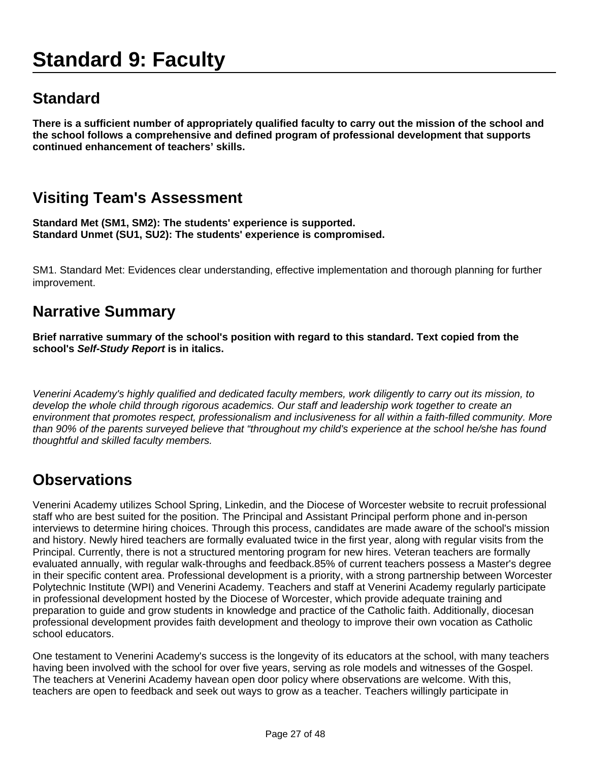# **Standard 9: Faculty**

# **Standard**

**There is a sufficient number of appropriately qualified faculty to carry out the mission of the school and the school follows a comprehensive and defined program of professional development that supports continued enhancement of teachers' skills.**

# **Visiting Team's Assessment**

**Standard Met (SM1, SM2): The students' experience is supported. Standard Unmet (SU1, SU2): The students' experience is compromised.**

SM1. Standard Met: Evidences clear understanding, effective implementation and thorough planning for further improvement.

### **Narrative Summary**

**Brief narrative summary of the school's position with regard to this standard. Text copied from the school's Self-Study Report is in italics.**

Venerini Academy's highly qualified and dedicated faculty members, work diligently to carry out its mission, to develop the whole child through rigorous academics. Our staff and leadership work together to create an environment that promotes respect, professionalism and inclusiveness for all within a faith-filled community. More than 90% of the parents surveyed believe that "throughout my child's experience at the school he/she has found thoughtful and skilled faculty members.

#### **Observations**

Venerini Academy utilizes School Spring, Linkedin, and the Diocese of Worcester website to recruit professional staff who are best suited for the position. The Principal and Assistant Principal perform phone and in-person interviews to determine hiring choices. Through this process, candidates are made aware of the school's mission and history. Newly hired teachers are formally evaluated twice in the first year, along with regular visits from the Principal. Currently, there is not a structured mentoring program for new hires. Veteran teachers are formally evaluated annually, with regular walk-throughs and feedback.85% of current teachers possess a Master's degree in their specific content area. Professional development is a priority, with a strong partnership between Worcester Polytechnic Institute (WPI) and Venerini Academy. Teachers and staff at Venerini Academy regularly participate in professional development hosted by the Diocese of Worcester, which provide adequate training and preparation to guide and grow students in knowledge and practice of the Catholic faith. Additionally, diocesan professional development provides faith development and theology to improve their own vocation as Catholic school educators.

One testament to Venerini Academy's success is the longevity of its educators at the school, with many teachers having been involved with the school for over five years, serving as role models and witnesses of the Gospel. The teachers at Venerini Academy havean open door policy where observations are welcome. With this, teachers are open to feedback and seek out ways to grow as a teacher. Teachers willingly participate in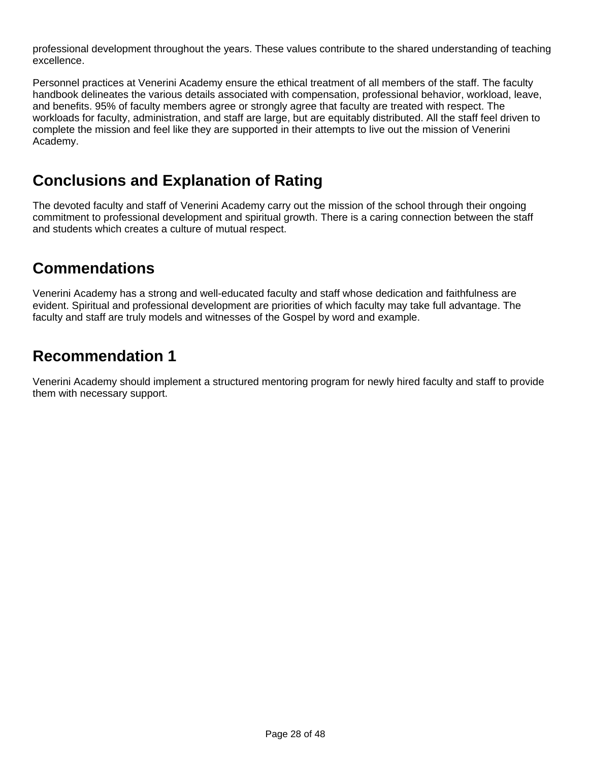professional development throughout the years. These values contribute to the shared understanding of teaching excellence.

Personnel practices at Venerini Academy ensure the ethical treatment of all members of the staff. The faculty handbook delineates the various details associated with compensation, professional behavior, workload, leave, and benefits. 95% of faculty members agree or strongly agree that faculty are treated with respect. The workloads for faculty, administration, and staff are large, but are equitably distributed. All the staff feel driven to complete the mission and feel like they are supported in their attempts to live out the mission of Venerini Academy.

#### **Conclusions and Explanation of Rating**

The devoted faculty and staff of Venerini Academy carry out the mission of the school through their ongoing commitment to professional development and spiritual growth. There is a caring connection between the staff and students which creates a culture of mutual respect.

### **Commendations**

Venerini Academy has a strong and well-educated faculty and staff whose dedication and faithfulness are evident. Spiritual and professional development are priorities of which faculty may take full advantage. The faculty and staff are truly models and witnesses of the Gospel by word and example.

#### **Recommendation 1**

Venerini Academy should implement a structured mentoring program for newly hired faculty and staff to provide them with necessary support.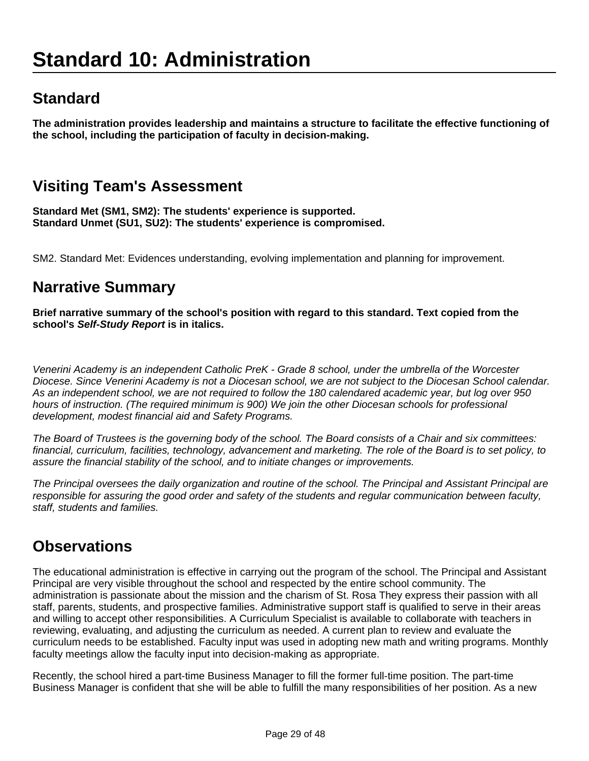# **Standard**

**The administration provides leadership and maintains a structure to facilitate the effective functioning of the school, including the participation of faculty in decision-making.**

# **Visiting Team's Assessment**

**Standard Met (SM1, SM2): The students' experience is supported. Standard Unmet (SU1, SU2): The students' experience is compromised.**

SM2. Standard Met: Evidences understanding, evolving implementation and planning for improvement.

#### **Narrative Summary**

**Brief narrative summary of the school's position with regard to this standard. Text copied from the school's Self-Study Report is in italics.**

Venerini Academy is an independent Catholic PreK - Grade 8 school, under the umbrella of the Worcester Diocese. Since Venerini Academy is not a Diocesan school, we are not subject to the Diocesan School calendar. As an independent school, we are not required to follow the 180 calendared academic year, but log over 950 hours of instruction. (The required minimum is 900) We join the other Diocesan schools for professional development, modest financial aid and Safety Programs.

The Board of Trustees is the governing body of the school. The Board consists of a Chair and six committees: financial, curriculum, facilities, technology, advancement and marketing. The role of the Board is to set policy, to assure the financial stability of the school, and to initiate changes or improvements.

The Principal oversees the daily organization and routine of the school. The Principal and Assistant Principal are responsible for assuring the good order and safety of the students and regular communication between faculty, staff, students and families.

#### **Observations**

The educational administration is effective in carrying out the program of the school. The Principal and Assistant Principal are very visible throughout the school and respected by the entire school community. The administration is passionate about the mission and the charism of St. Rosa They express their passion with all staff, parents, students, and prospective families. Administrative support staff is qualified to serve in their areas and willing to accept other responsibilities. A Curriculum Specialist is available to collaborate with teachers in reviewing, evaluating, and adjusting the curriculum as needed. A current plan to review and evaluate the curriculum needs to be established. Faculty input was used in adopting new math and writing programs. Monthly faculty meetings allow the faculty input into decision-making as appropriate.

Recently, the school hired a part-time Business Manager to fill the former full-time position. The part-time Business Manager is confident that she will be able to fulfill the many responsibilities of her position. As a new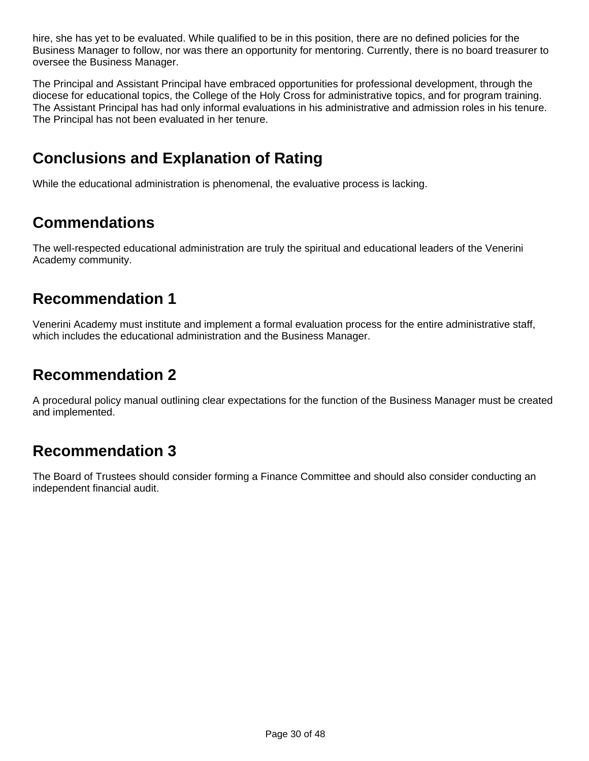hire, she has yet to be evaluated. While qualified to be in this position, there are no defined policies for the Business Manager to follow, nor was there an opportunity for mentoring. Currently, there is no board treasurer to oversee the Business Manager.

The Principal and Assistant Principal have embraced opportunities for professional development, through the diocese for educational topics, the College of the Holy Cross for administrative topics, and for program training. The Assistant Principal has had only informal evaluations in his administrative and admission roles in his tenure. The Principal has not been evaluated in her tenure.

# **Conclusions and Explanation of Rating**

While the educational administration is phenomenal, the evaluative process is lacking.

### **Commendations**

The well-respected educational administration are truly the spiritual and educational leaders of the Venerini Academy community.

#### **Recommendation 1**

Venerini Academy must institute and implement a formal evaluation process for the entire administrative staff, which includes the educational administration and the Business Manager.

#### **Recommendation 2**

A procedural policy manual outlining clear expectations for the function of the Business Manager must be created and implemented.

#### **Recommendation 3**

The Board of Trustees should consider forming a Finance Committee and should also consider conducting an independent financial audit.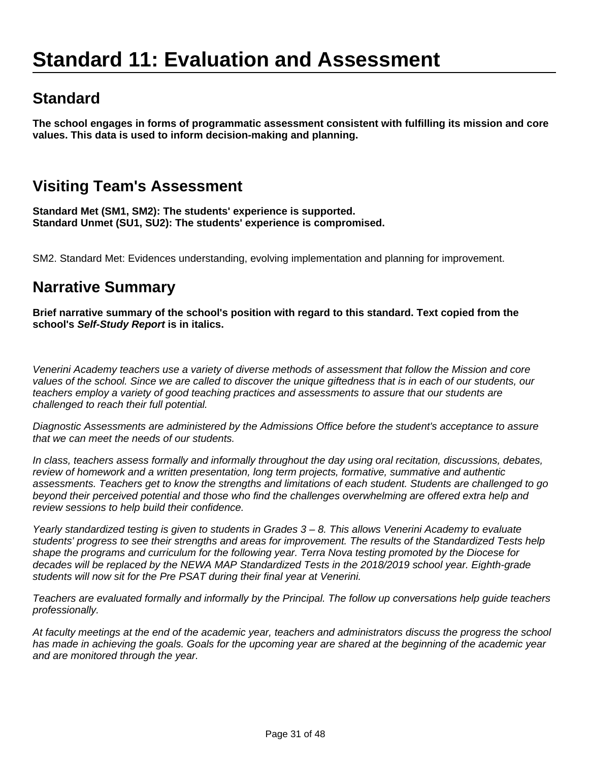# **Standard 11: Evaluation and Assessment**

### **Standard**

**The school engages in forms of programmatic assessment consistent with fulfilling its mission and core values. This data is used to inform decision-making and planning.**

# **Visiting Team's Assessment**

**Standard Met (SM1, SM2): The students' experience is supported. Standard Unmet (SU1, SU2): The students' experience is compromised.**

SM2. Standard Met: Evidences understanding, evolving implementation and planning for improvement.

#### **Narrative Summary**

**Brief narrative summary of the school's position with regard to this standard. Text copied from the school's Self-Study Report is in italics.**

Venerini Academy teachers use a variety of diverse methods of assessment that follow the Mission and core values of the school. Since we are called to discover the unique giftedness that is in each of our students, our teachers employ a variety of good teaching practices and assessments to assure that our students are challenged to reach their full potential.

Diagnostic Assessments are administered by the Admissions Office before the student's acceptance to assure that we can meet the needs of our students.

In class, teachers assess formally and informally throughout the day using oral recitation, discussions, debates, review of homework and a written presentation, long term projects, formative, summative and authentic assessments. Teachers get to know the strengths and limitations of each student. Students are challenged to go beyond their perceived potential and those who find the challenges overwhelming are offered extra help and review sessions to help build their confidence.

Yearly standardized testing is given to students in Grades 3 – 8. This allows Venerini Academy to evaluate students' progress to see their strengths and areas for improvement. The results of the Standardized Tests help shape the programs and curriculum for the following year. Terra Nova testing promoted by the Diocese for decades will be replaced by the NEWA MAP Standardized Tests in the 2018/2019 school year. Eighth-grade students will now sit for the Pre PSAT during their final year at Venerini.

Teachers are evaluated formally and informally by the Principal. The follow up conversations help guide teachers professionally.

At faculty meetings at the end of the academic year, teachers and administrators discuss the progress the school has made in achieving the goals. Goals for the upcoming year are shared at the beginning of the academic year and are monitored through the year.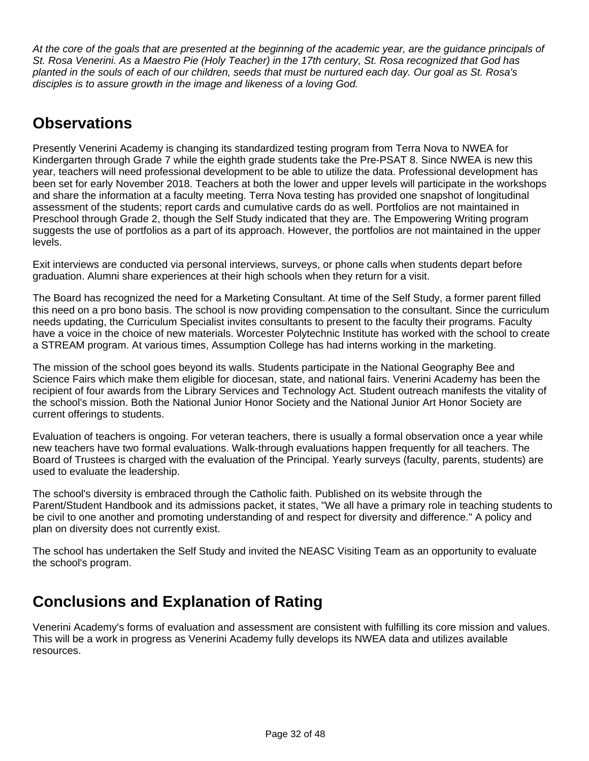At the core of the goals that are presented at the beginning of the academic year, are the guidance principals of St. Rosa Venerini. As a Maestro Pie (Holy Teacher) in the 17th century, St. Rosa recognized that God has planted in the souls of each of our children, seeds that must be nurtured each day. Our goal as St. Rosa's disciples is to assure growth in the image and likeness of a loving God.

# **Observations**

Presently Venerini Academy is changing its standardized testing program from Terra Nova to NWEA for Kindergarten through Grade 7 while the eighth grade students take the Pre-PSAT 8. Since NWEA is new this year, teachers will need professional development to be able to utilize the data. Professional development has been set for early November 2018. Teachers at both the lower and upper levels will participate in the workshops and share the information at a faculty meeting. Terra Nova testing has provided one snapshot of longitudinal assessment of the students; report cards and cumulative cards do as well. Portfolios are not maintained in Preschool through Grade 2, though the Self Study indicated that they are. The Empowering Writing program suggests the use of portfolios as a part of its approach. However, the portfolios are not maintained in the upper levels.

Exit interviews are conducted via personal interviews, surveys, or phone calls when students depart before graduation. Alumni share experiences at their high schools when they return for a visit.

The Board has recognized the need for a Marketing Consultant. At time of the Self Study, a former parent filled this need on a pro bono basis. The school is now providing compensation to the consultant. Since the curriculum needs updating, the Curriculum Specialist invites consultants to present to the faculty their programs. Faculty have a voice in the choice of new materials. Worcester Polytechnic Institute has worked with the school to create a STREAM program. At various times, Assumption College has had interns working in the marketing.

The mission of the school goes beyond its walls. Students participate in the National Geography Bee and Science Fairs which make them eligible for diocesan, state, and national fairs. Venerini Academy has been the recipient of four awards from the Library Services and Technology Act. Student outreach manifests the vitality of the school's mission. Both the National Junior Honor Society and the National Junior Art Honor Society are current offerings to students.

Evaluation of teachers is ongoing. For veteran teachers, there is usually a formal observation once a year while new teachers have two formal evaluations. Walk-through evaluations happen frequently for all teachers. The Board of Trustees is charged with the evaluation of the Principal. Yearly surveys (faculty, parents, students) are used to evaluate the leadership.

The school's diversity is embraced through the Catholic faith. Published on its website through the Parent/Student Handbook and its admissions packet, it states, "We all have a primary role in teaching students to be civil to one another and promoting understanding of and respect for diversity and difference." A policy and plan on diversity does not currently exist.

The school has undertaken the Self Study and invited the NEASC Visiting Team as an opportunity to evaluate the school's program.

# **Conclusions and Explanation of Rating**

Venerini Academy's forms of evaluation and assessment are consistent with fulfilling its core mission and values. This will be a work in progress as Venerini Academy fully develops its NWEA data and utilizes available resources.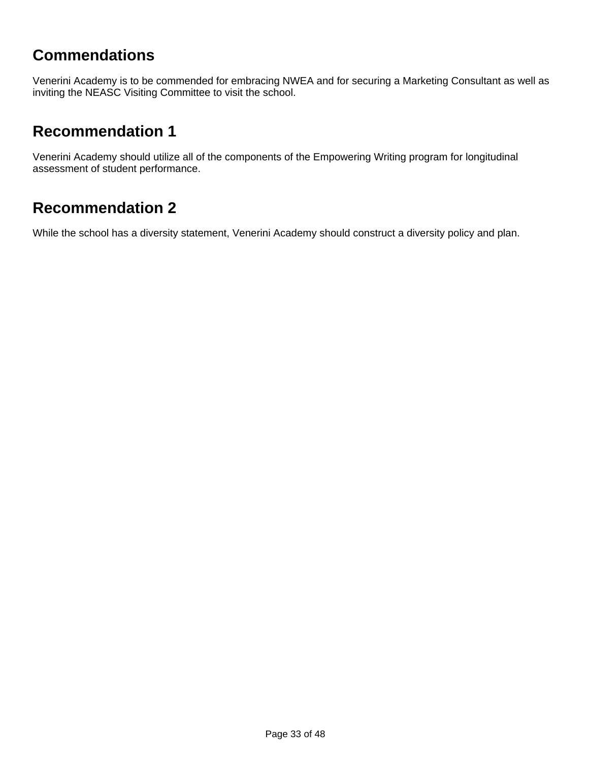### **Commendations**

Venerini Academy is to be commended for embracing NWEA and for securing a Marketing Consultant as well as inviting the NEASC Visiting Committee to visit the school.

#### **Recommendation 1**

Venerini Academy should utilize all of the components of the Empowering Writing program for longitudinal assessment of student performance.

#### **Recommendation 2**

While the school has a diversity statement, Venerini Academy should construct a diversity policy and plan.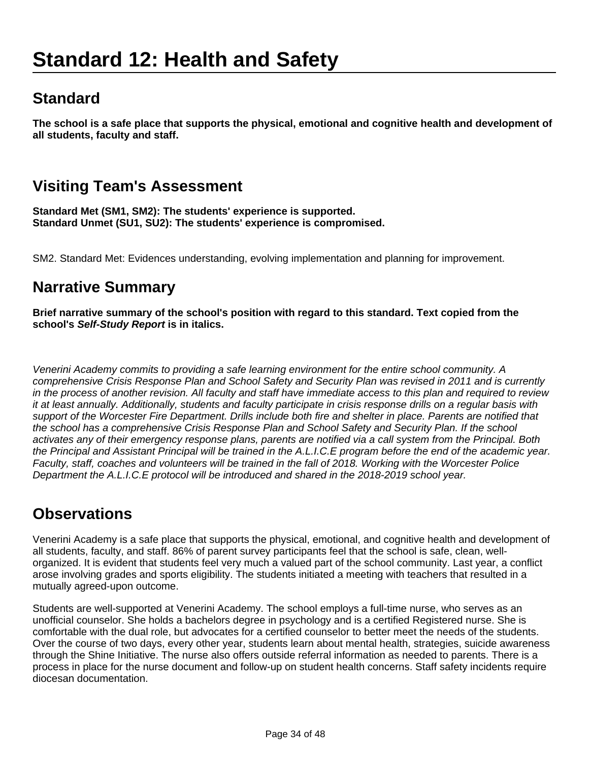# **Standard**

**The school is a safe place that supports the physical, emotional and cognitive health and development of all students, faculty and staff.**

# **Visiting Team's Assessment**

**Standard Met (SM1, SM2): The students' experience is supported. Standard Unmet (SU1, SU2): The students' experience is compromised.**

SM2. Standard Met: Evidences understanding, evolving implementation and planning for improvement.

#### **Narrative Summary**

**Brief narrative summary of the school's position with regard to this standard. Text copied from the school's Self-Study Report is in italics.**

Venerini Academy commits to providing a safe learning environment for the entire school community. A comprehensive Crisis Response Plan and School Safety and Security Plan was revised in 2011 and is currently in the process of another revision. All faculty and staff have immediate access to this plan and required to review it at least annually. Additionally, students and faculty participate in crisis response drills on a regular basis with support of the Worcester Fire Department. Drills include both fire and shelter in place. Parents are notified that the school has a comprehensive Crisis Response Plan and School Safety and Security Plan. If the school activates any of their emergency response plans, parents are notified via a call system from the Principal. Both the Principal and Assistant Principal will be trained in the A.L.I.C.E program before the end of the academic year. Faculty, staff, coaches and volunteers will be trained in the fall of 2018. Working with the Worcester Police Department the A.L.I.C.E protocol will be introduced and shared in the 2018-2019 school year.

# **Observations**

Venerini Academy is a safe place that supports the physical, emotional, and cognitive health and development of all students, faculty, and staff. 86% of parent survey participants feel that the school is safe, clean, wellorganized. It is evident that students feel very much a valued part of the school community. Last year, a conflict arose involving grades and sports eligibility. The students initiated a meeting with teachers that resulted in a mutually agreed-upon outcome.

Students are well-supported at Venerini Academy. The school employs a full-time nurse, who serves as an unofficial counselor. She holds a bachelors degree in psychology and is a certified Registered nurse. She is comfortable with the dual role, but advocates for a certified counselor to better meet the needs of the students. Over the course of two days, every other year, students learn about mental health, strategies, suicide awareness through the Shine Initiative. The nurse also offers outside referral information as needed to parents. There is a process in place for the nurse document and follow-up on student health concerns. Staff safety incidents require diocesan documentation.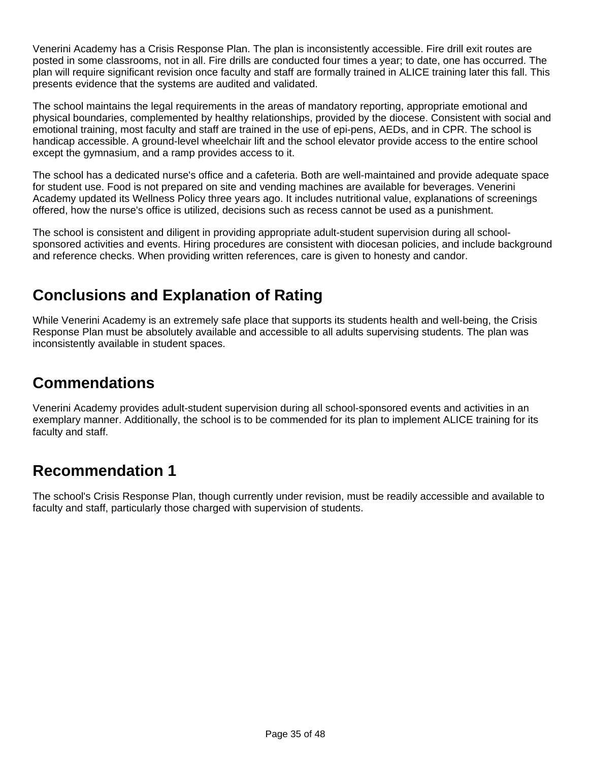Venerini Academy has a Crisis Response Plan. The plan is inconsistently accessible. Fire drill exit routes are posted in some classrooms, not in all. Fire drills are conducted four times a year; to date, one has occurred. The plan will require significant revision once faculty and staff are formally trained in ALICE training later this fall. This presents evidence that the systems are audited and validated.

The school maintains the legal requirements in the areas of mandatory reporting, appropriate emotional and physical boundaries, complemented by healthy relationships, provided by the diocese. Consistent with social and emotional training, most faculty and staff are trained in the use of epi-pens, AEDs, and in CPR. The school is handicap accessible. A ground-level wheelchair lift and the school elevator provide access to the entire school except the gymnasium, and a ramp provides access to it.

The school has a dedicated nurse's office and a cafeteria. Both are well-maintained and provide adequate space for student use. Food is not prepared on site and vending machines are available for beverages. Venerini Academy updated its Wellness Policy three years ago. It includes nutritional value, explanations of screenings offered, how the nurse's office is utilized, decisions such as recess cannot be used as a punishment.

The school is consistent and diligent in providing appropriate adult-student supervision during all schoolsponsored activities and events. Hiring procedures are consistent with diocesan policies, and include background and reference checks. When providing written references, care is given to honesty and candor.

# **Conclusions and Explanation of Rating**

While Venerini Academy is an extremely safe place that supports its students health and well-being, the Crisis Response Plan must be absolutely available and accessible to all adults supervising students. The plan was inconsistently available in student spaces.

#### **Commendations**

Venerini Academy provides adult-student supervision during all school-sponsored events and activities in an exemplary manner. Additionally, the school is to be commended for its plan to implement ALICE training for its faculty and staff.

# **Recommendation 1**

The school's Crisis Response Plan, though currently under revision, must be readily accessible and available to faculty and staff, particularly those charged with supervision of students.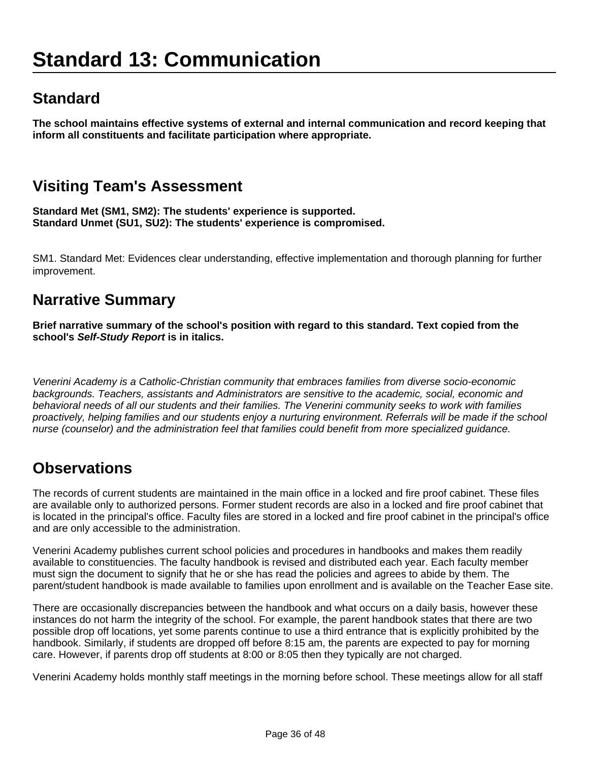# **Standard**

**The school maintains effective systems of external and internal communication and record keeping that inform all constituents and facilitate participation where appropriate.**

# **Visiting Team's Assessment**

**Standard Met (SM1, SM2): The students' experience is supported. Standard Unmet (SU1, SU2): The students' experience is compromised.**

SM1. Standard Met: Evidences clear understanding, effective implementation and thorough planning for further improvement.

#### **Narrative Summary**

**Brief narrative summary of the school's position with regard to this standard. Text copied from the school's Self-Study Report is in italics.**

Venerini Academy is a Catholic-Christian community that embraces families from diverse socio-economic backgrounds. Teachers, assistants and Administrators are sensitive to the academic, social, economic and behavioral needs of all our students and their families. The Venerini community seeks to work with families proactively, helping families and our students enjoy a nurturing environment. Referrals will be made if the school nurse (counselor) and the administration feel that families could benefit from more specialized guidance.

#### **Observations**

The records of current students are maintained in the main office in a locked and fire proof cabinet. These files are available only to authorized persons. Former student records are also in a locked and fire proof cabinet that is located in the principal's office. Faculty files are stored in a locked and fire proof cabinet in the principal's office and are only accessible to the administration.

Venerini Academy publishes current school policies and procedures in handbooks and makes them readily available to constituencies. The faculty handbook is revised and distributed each year. Each faculty member must sign the document to signify that he or she has read the policies and agrees to abide by them. The parent/student handbook is made available to families upon enrollment and is available on the Teacher Ease site.

There are occasionally discrepancies between the handbook and what occurs on a daily basis, however these instances do not harm the integrity of the school. For example, the parent handbook states that there are two possible drop off locations, yet some parents continue to use a third entrance that is explicitly prohibited by the handbook. Similarly, if students are dropped off before 8:15 am, the parents are expected to pay for morning care. However, if parents drop off students at 8:00 or 8:05 then they typically are not charged.

Venerini Academy holds monthly staff meetings in the morning before school. These meetings allow for all staff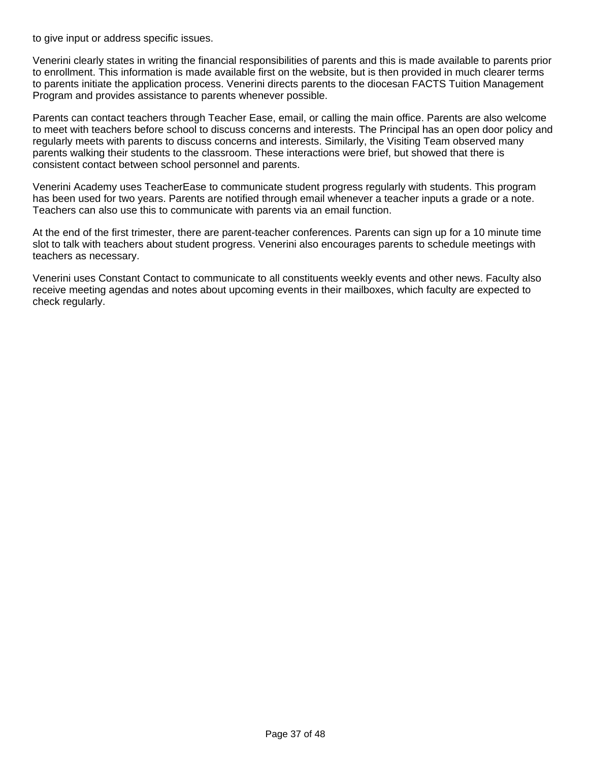to give input or address specific issues.

Venerini clearly states in writing the financial responsibilities of parents and this is made available to parents prior to enrollment. This information is made available first on the website, but is then provided in much clearer terms to parents initiate the application process. Venerini directs parents to the diocesan FACTS Tuition Management Program and provides assistance to parents whenever possible.

Parents can contact teachers through Teacher Ease, email, or calling the main office. Parents are also welcome to meet with teachers before school to discuss concerns and interests. The Principal has an open door policy and regularly meets with parents to discuss concerns and interests. Similarly, the Visiting Team observed many parents walking their students to the classroom. These interactions were brief, but showed that there is consistent contact between school personnel and parents.

Venerini Academy uses TeacherEase to communicate student progress regularly with students. This program has been used for two years. Parents are notified through email whenever a teacher inputs a grade or a note. Teachers can also use this to communicate with parents via an email function.

At the end of the first trimester, there are parent-teacher conferences. Parents can sign up for a 10 minute time slot to talk with teachers about student progress. Venerini also encourages parents to schedule meetings with teachers as necessary.

Venerini uses Constant Contact to communicate to all constituents weekly events and other news. Faculty also receive meeting agendas and notes about upcoming events in their mailboxes, which faculty are expected to check regularly.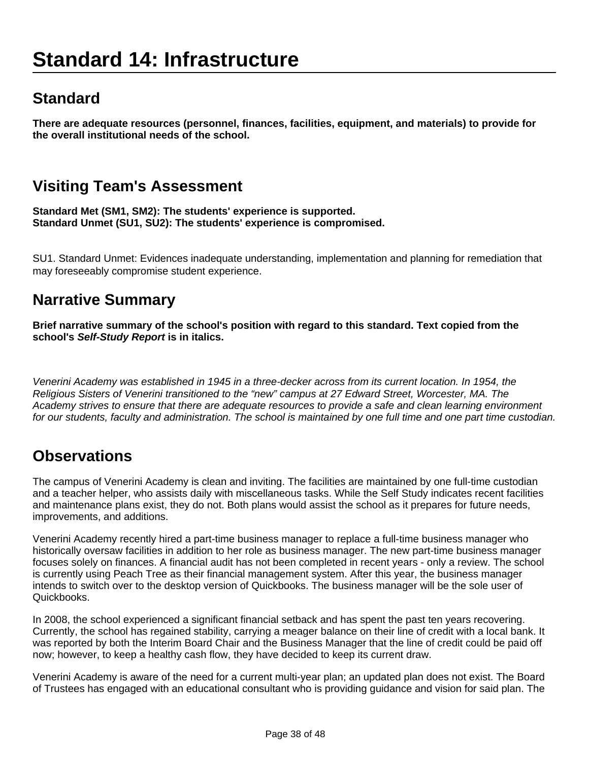# **Standard 14: Infrastructure**

# **Standard**

**There are adequate resources (personnel, finances, facilities, equipment, and materials) to provide for the overall institutional needs of the school.**

# **Visiting Team's Assessment**

**Standard Met (SM1, SM2): The students' experience is supported. Standard Unmet (SU1, SU2): The students' experience is compromised.**

SU1. Standard Unmet: Evidences inadequate understanding, implementation and planning for remediation that may foreseeably compromise student experience.

#### **Narrative Summary**

**Brief narrative summary of the school's position with regard to this standard. Text copied from the school's Self-Study Report is in italics.**

Venerini Academy was established in 1945 in a three-decker across from its current location. In 1954, the Religious Sisters of Venerini transitioned to the "new" campus at 27 Edward Street, Worcester, MA. The Academy strives to ensure that there are adequate resources to provide a safe and clean learning environment for our students, faculty and administration. The school is maintained by one full time and one part time custodian.

# **Observations**

The campus of Venerini Academy is clean and inviting. The facilities are maintained by one full-time custodian and a teacher helper, who assists daily with miscellaneous tasks. While the Self Study indicates recent facilities and maintenance plans exist, they do not. Both plans would assist the school as it prepares for future needs, improvements, and additions.

Venerini Academy recently hired a part-time business manager to replace a full-time business manager who historically oversaw facilities in addition to her role as business manager. The new part-time business manager focuses solely on finances. A financial audit has not been completed in recent years - only a review. The school is currently using Peach Tree as their financial management system. After this year, the business manager intends to switch over to the desktop version of Quickbooks. The business manager will be the sole user of Quickbooks.

In 2008, the school experienced a significant financial setback and has spent the past ten years recovering. Currently, the school has regained stability, carrying a meager balance on their line of credit with a local bank. It was reported by both the Interim Board Chair and the Business Manager that the line of credit could be paid off now; however, to keep a healthy cash flow, they have decided to keep its current draw.

Venerini Academy is aware of the need for a current multi-year plan; an updated plan does not exist. The Board of Trustees has engaged with an educational consultant who is providing guidance and vision for said plan. The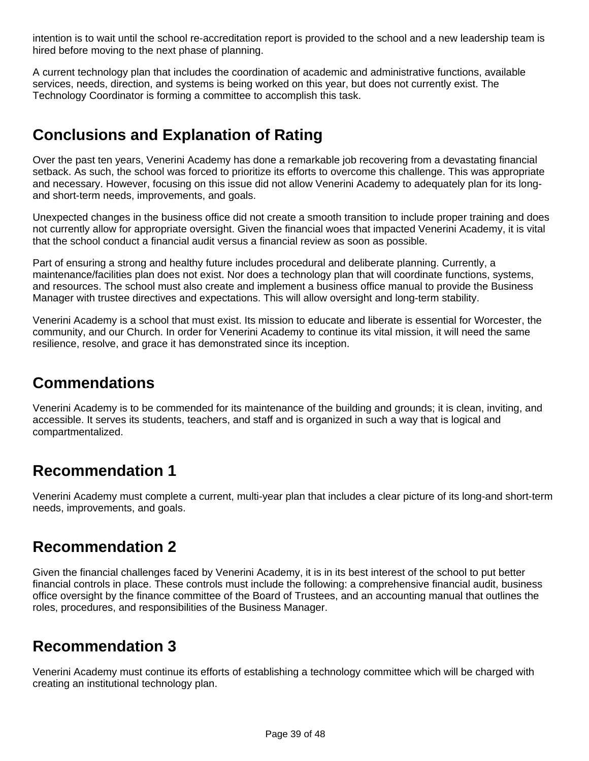intention is to wait until the school re-accreditation report is provided to the school and a new leadership team is hired before moving to the next phase of planning.

A current technology plan that includes the coordination of academic and administrative functions, available services, needs, direction, and systems is being worked on this year, but does not currently exist. The Technology Coordinator is forming a committee to accomplish this task.

# **Conclusions and Explanation of Rating**

Over the past ten years, Venerini Academy has done a remarkable job recovering from a devastating financial setback. As such, the school was forced to prioritize its efforts to overcome this challenge. This was appropriate and necessary. However, focusing on this issue did not allow Venerini Academy to adequately plan for its longand short-term needs, improvements, and goals.

Unexpected changes in the business office did not create a smooth transition to include proper training and does not currently allow for appropriate oversight. Given the financial woes that impacted Venerini Academy, it is vital that the school conduct a financial audit versus a financial review as soon as possible.

Part of ensuring a strong and healthy future includes procedural and deliberate planning. Currently, a maintenance/facilities plan does not exist. Nor does a technology plan that will coordinate functions, systems, and resources. The school must also create and implement a business office manual to provide the Business Manager with trustee directives and expectations. This will allow oversight and long-term stability.

Venerini Academy is a school that must exist. Its mission to educate and liberate is essential for Worcester, the community, and our Church. In order for Venerini Academy to continue its vital mission, it will need the same resilience, resolve, and grace it has demonstrated since its inception.

# **Commendations**

Venerini Academy is to be commended for its maintenance of the building and grounds; it is clean, inviting, and accessible. It serves its students, teachers, and staff and is organized in such a way that is logical and compartmentalized.

# **Recommendation 1**

Venerini Academy must complete a current, multi-year plan that includes a clear picture of its long-and short-term needs, improvements, and goals.

#### **Recommendation 2**

Given the financial challenges faced by Venerini Academy, it is in its best interest of the school to put better financial controls in place. These controls must include the following: a comprehensive financial audit, business office oversight by the finance committee of the Board of Trustees, and an accounting manual that outlines the roles, procedures, and responsibilities of the Business Manager.

#### **Recommendation 3**

Venerini Academy must continue its efforts of establishing a technology committee which will be charged with creating an institutional technology plan.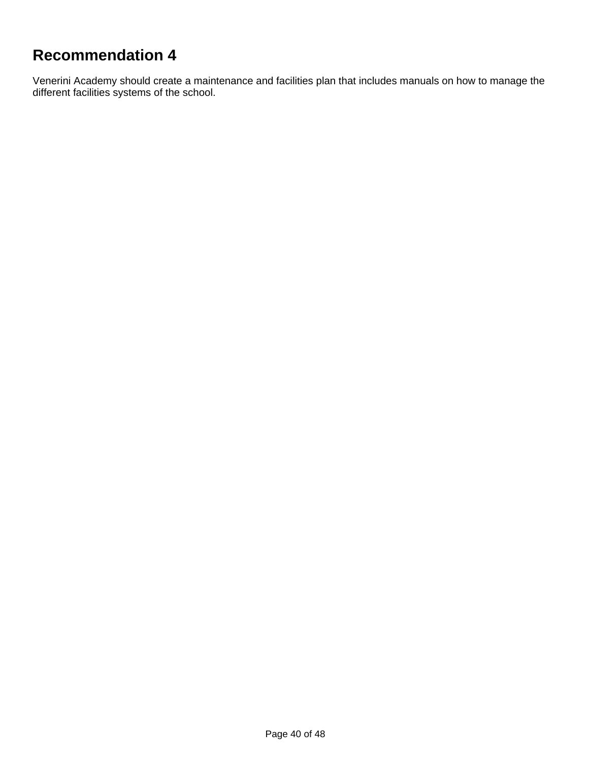# **Recommendation 4**

Venerini Academy should create a maintenance and facilities plan that includes manuals on how to manage the different facilities systems of the school.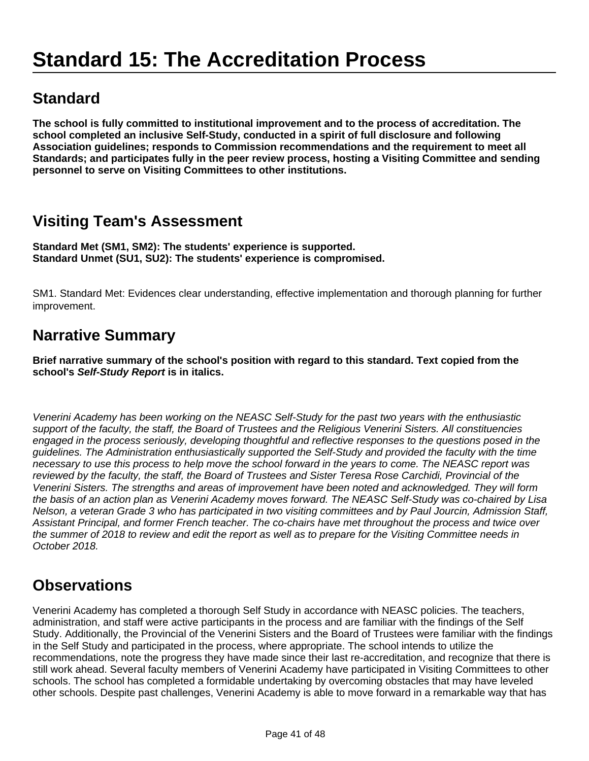# **Standard**

**The school is fully committed to institutional improvement and to the process of accreditation. The school completed an inclusive Self-Study, conducted in a spirit of full disclosure and following Association guidelines; responds to Commission recommendations and the requirement to meet all Standards; and participates fully in the peer review process, hosting a Visiting Committee and sending personnel to serve on Visiting Committees to other institutions.**

# **Visiting Team's Assessment**

**Standard Met (SM1, SM2): The students' experience is supported. Standard Unmet (SU1, SU2): The students' experience is compromised.**

SM1. Standard Met: Evidences clear understanding, effective implementation and thorough planning for further improvement.

### **Narrative Summary**

**Brief narrative summary of the school's position with regard to this standard. Text copied from the school's Self-Study Report is in italics.**

Venerini Academy has been working on the NEASC Self-Study for the past two years with the enthusiastic support of the faculty, the staff, the Board of Trustees and the Religious Venerini Sisters. All constituencies engaged in the process seriously, developing thoughtful and reflective responses to the questions posed in the guidelines. The Administration enthusiastically supported the Self-Study and provided the faculty with the time necessary to use this process to help move the school forward in the years to come. The NEASC report was reviewed by the faculty, the staff, the Board of Trustees and Sister Teresa Rose Carchidi, Provincial of the Venerini Sisters. The strengths and areas of improvement have been noted and acknowledged. They will form the basis of an action plan as Venerini Academy moves forward. The NEASC Self-Study was co-chaired by Lisa Nelson, a veteran Grade 3 who has participated in two visiting committees and by Paul Jourcin, Admission Staff, Assistant Principal, and former French teacher. The co-chairs have met throughout the process and twice over the summer of 2018 to review and edit the report as well as to prepare for the Visiting Committee needs in October 2018.

# **Observations**

Venerini Academy has completed a thorough Self Study in accordance with NEASC policies. The teachers, administration, and staff were active participants in the process and are familiar with the findings of the Self Study. Additionally, the Provincial of the Venerini Sisters and the Board of Trustees were familiar with the findings in the Self Study and participated in the process, where appropriate. The school intends to utilize the recommendations, note the progress they have made since their last re-accreditation, and recognize that there is still work ahead. Several faculty members of Venerini Academy have participated in Visiting Committees to other schools. The school has completed a formidable undertaking by overcoming obstacles that may have leveled other schools. Despite past challenges, Venerini Academy is able to move forward in a remarkable way that has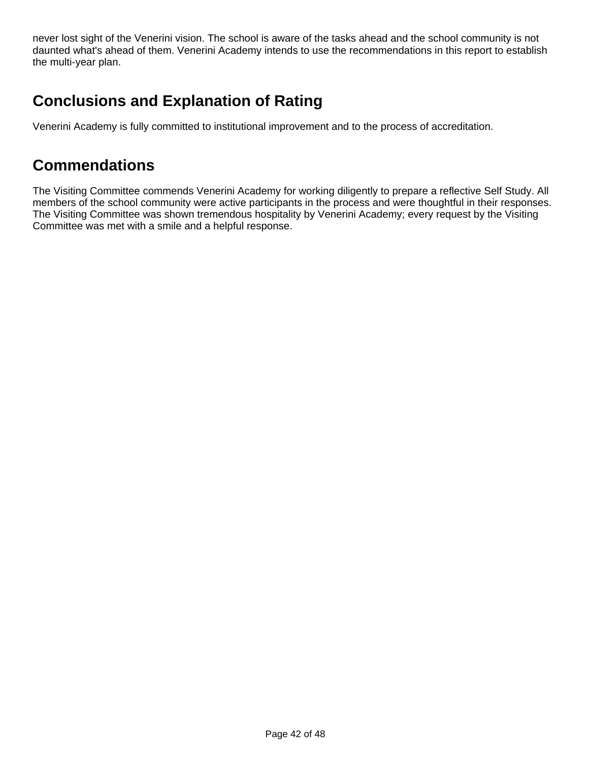never lost sight of the Venerini vision. The school is aware of the tasks ahead and the school community is not daunted what's ahead of them. Venerini Academy intends to use the recommendations in this report to establish the multi-year plan.

## **Conclusions and Explanation of Rating**

Venerini Academy is fully committed to institutional improvement and to the process of accreditation.

#### **Commendations**

The Visiting Committee commends Venerini Academy for working diligently to prepare a reflective Self Study. All members of the school community were active participants in the process and were thoughtful in their responses. The Visiting Committee was shown tremendous hospitality by Venerini Academy; every request by the Visiting Committee was met with a smile and a helpful response.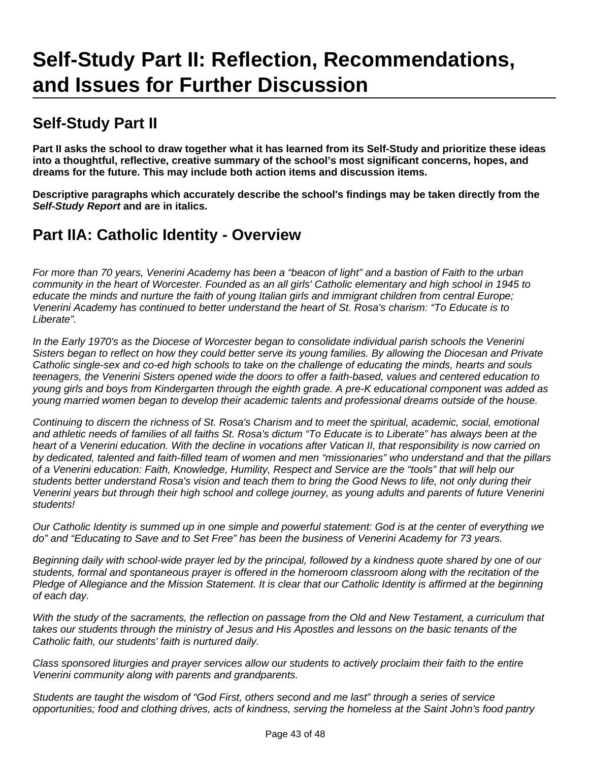# **Self-Study Part II**

**Part II asks the school to draw together what it has learned from its Self-Study and prioritize these ideas into a thoughtful, reflective, creative summary of the school's most significant concerns, hopes, and dreams for the future. This may include both action items and discussion items.**

**Descriptive paragraphs which accurately describe the school's findings may be taken directly from the Self-Study Report and are in italics.**

### **Part IIA: Catholic Identity - Overview**

For more than 70 years, Venerini Academy has been a "beacon of light" and a bastion of Faith to the urban community in the heart of Worcester. Founded as an all girls' Catholic elementary and high school in 1945 to educate the minds and nurture the faith of young Italian girls and immigrant children from central Europe; Venerini Academy has continued to better understand the heart of St. Rosa's charism: "To Educate is to Liberate".

In the Early 1970's as the Diocese of Worcester began to consolidate individual parish schools the Venerini Sisters began to reflect on how they could better serve its young families. By allowing the Diocesan and Private Catholic single-sex and co-ed high schools to take on the challenge of educating the minds, hearts and souls teenagers, the Venerini Sisters opened wide the doors to offer a faith-based, values and centered education to young girls and boys from Kindergarten through the eighth grade. A pre-K educational component was added as young married women began to develop their academic talents and professional dreams outside of the house.

Continuing to discern the richness of St. Rosa's Charism and to meet the spiritual, academic, social, emotional and athletic needs of families of all faiths St. Rosa's dictum "To Educate is to Liberate" has always been at the heart of a Venerini education. With the decline in vocations after Vatican II, that responsibility is now carried on by dedicated, talented and faith-filled team of women and men "missionaries" who understand and that the pillars of a Venerini education: Faith, Knowledge, Humility, Respect and Service are the "tools" that will help our students better understand Rosa's vision and teach them to bring the Good News to life, not only during their Venerini years but through their high school and college journey, as young adults and parents of future Venerini students!

Our Catholic Identity is summed up in one simple and powerful statement: God is at the center of everything we do" and "Educating to Save and to Set Free" has been the business of Venerini Academy for 73 years.

Beginning daily with school-wide prayer led by the principal, followed by a kindness quote shared by one of our students, formal and spontaneous prayer is offered in the homeroom classroom along with the recitation of the Pledge of Allegiance and the Mission Statement. It is clear that our Catholic Identity is affirmed at the beginning of each day.

With the study of the sacraments, the reflection on passage from the Old and New Testament, a curriculum that takes our students through the ministry of Jesus and His Apostles and lessons on the basic tenants of the Catholic faith, our students' faith is nurtured daily.

Class sponsored liturgies and prayer services allow our students to actively proclaim their faith to the entire Venerini community along with parents and grandparents.

Students are taught the wisdom of "God First, others second and me last" through a series of service opportunities; food and clothing drives, acts of kindness, serving the homeless at the Saint John's food pantry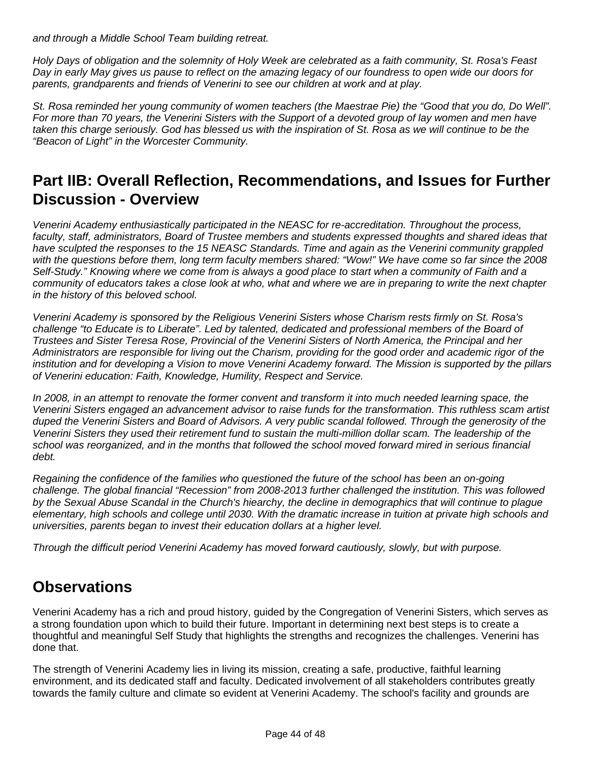and through a Middle School Team building retreat.

Holy Days of obligation and the solemnity of Holy Week are celebrated as a faith community, St. Rosa's Feast Day in early May gives us pause to reflect on the amazing legacy of our foundress to open wide our doors for parents, grandparents and friends of Venerini to see our children at work and at play.

St. Rosa reminded her young community of women teachers (the Maestrae Pie) the "Good that you do, Do Well". For more than 70 years, the Venerini Sisters with the Support of a devoted group of lay women and men have taken this charge seriously. God has blessed us with the inspiration of St. Rosa as we will continue to be the "Beacon of Light" in the Worcester Community.

#### **Part IIB: Overall Reflection, Recommendations, and Issues for Further Discussion - Overview**

Venerini Academy enthusiastically participated in the NEASC for re-accreditation. Throughout the process, faculty, staff, administrators, Board of Trustee members and students expressed thoughts and shared ideas that have sculpted the responses to the 15 NEASC Standards. Time and again as the Venerini community grappled with the questions before them, long term faculty members shared: "Wow!" We have come so far since the 2008 Self-Study." Knowing where we come from is always a good place to start when a community of Faith and a community of educators takes a close look at who, what and where we are in preparing to write the next chapter in the history of this beloved school.

Venerini Academy is sponsored by the Religious Venerini Sisters whose Charism rests firmly on St. Rosa's challenge "to Educate is to Liberate". Led by talented, dedicated and professional members of the Board of Trustees and Sister Teresa Rose, Provincial of the Venerini Sisters of North America, the Principal and her Administrators are responsible for living out the Charism, providing for the good order and academic rigor of the institution and for developing a Vision to move Venerini Academy forward. The Mission is supported by the pillars of Venerini education: Faith, Knowledge, Humility, Respect and Service.

In 2008, in an attempt to renovate the former convent and transform it into much needed learning space, the Venerini Sisters engaged an advancement advisor to raise funds for the transformation. This ruthless scam artist duped the Venerini Sisters and Board of Advisors. A very public scandal followed. Through the generosity of the Venerini Sisters they used their retirement fund to sustain the multi-million dollar scam. The leadership of the school was reorganized, and in the months that followed the school moved forward mired in serious financial debt.

Regaining the confidence of the families who questioned the future of the school has been an on-going challenge. The global financial "Recession" from 2008-2013 further challenged the institution. This was followed by the Sexual Abuse Scandal in the Church's hiearchy, the decline in demographics that will continue to plague elementary, high schools and college until 2030. With the dramatic increase in tuition at private high schools and universities, parents began to invest their education dollars at a higher level.

Through the difficult period Venerini Academy has moved forward cautiously, slowly, but with purpose.

# **Observations**

Venerini Academy has a rich and proud history, guided by the Congregation of Venerini Sisters, which serves as a strong foundation upon which to build their future. Important in determining next best steps is to create a thoughtful and meaningful Self Study that highlights the strengths and recognizes the challenges. Venerini has done that.

The strength of Venerini Academy lies in living its mission, creating a safe, productive, faithful learning environment, and its dedicated staff and faculty. Dedicated involvement of all stakeholders contributes greatly towards the family culture and climate so evident at Venerini Academy. The school's facility and grounds are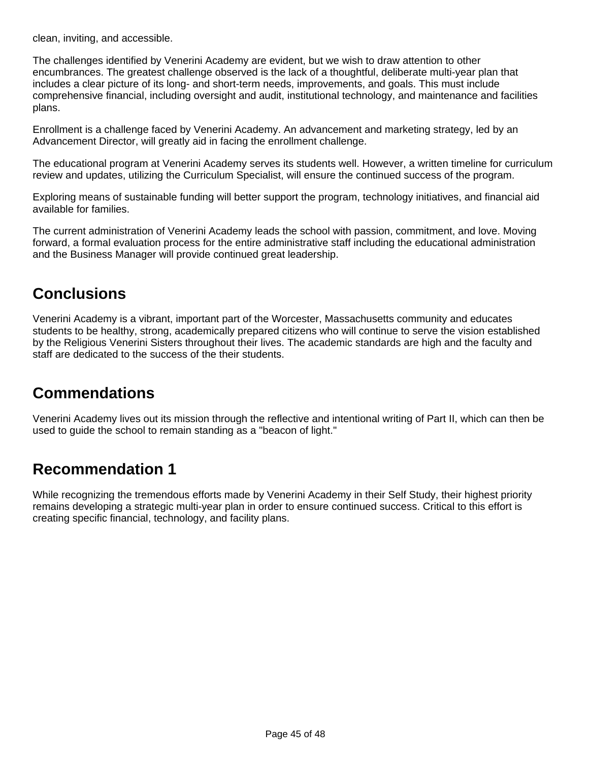clean, inviting, and accessible.

The challenges identified by Venerini Academy are evident, but we wish to draw attention to other encumbrances. The greatest challenge observed is the lack of a thoughtful, deliberate multi-year plan that includes a clear picture of its long- and short-term needs, improvements, and goals. This must include comprehensive financial, including oversight and audit, institutional technology, and maintenance and facilities plans.

Enrollment is a challenge faced by Venerini Academy. An advancement and marketing strategy, led by an Advancement Director, will greatly aid in facing the enrollment challenge.

The educational program at Venerini Academy serves its students well. However, a written timeline for curriculum review and updates, utilizing the Curriculum Specialist, will ensure the continued success of the program.

Exploring means of sustainable funding will better support the program, technology initiatives, and financial aid available for families.

The current administration of Venerini Academy leads the school with passion, commitment, and love. Moving forward, a formal evaluation process for the entire administrative staff including the educational administration and the Business Manager will provide continued great leadership.

#### **Conclusions**

Venerini Academy is a vibrant, important part of the Worcester, Massachusetts community and educates students to be healthy, strong, academically prepared citizens who will continue to serve the vision established by the Religious Venerini Sisters throughout their lives. The academic standards are high and the faculty and staff are dedicated to the success of the their students.

#### **Commendations**

Venerini Academy lives out its mission through the reflective and intentional writing of Part II, which can then be used to guide the school to remain standing as a "beacon of light."

#### **Recommendation 1**

While recognizing the tremendous efforts made by Venerini Academy in their Self Study, their highest priority remains developing a strategic multi-year plan in order to ensure continued success. Critical to this effort is creating specific financial, technology, and facility plans.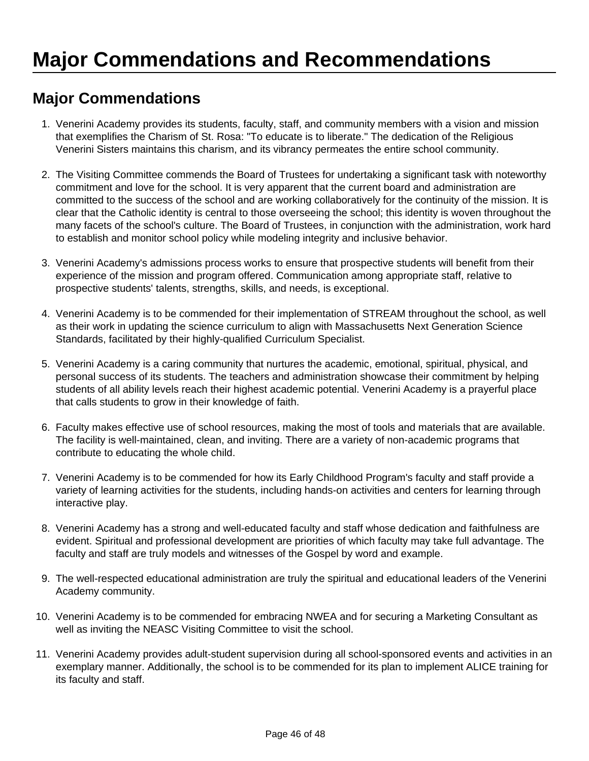# **Major Commendations**

- 1. Venerini Academy provides its students, faculty, staff, and community members with a vision and mission that exemplifies the Charism of St. Rosa: "To educate is to liberate." The dedication of the Religious Venerini Sisters maintains this charism, and its vibrancy permeates the entire school community.
- 2. The Visiting Committee commends the Board of Trustees for undertaking a significant task with noteworthy commitment and love for the school. It is very apparent that the current board and administration are committed to the success of the school and are working collaboratively for the continuity of the mission. It is clear that the Catholic identity is central to those overseeing the school; this identity is woven throughout the many facets of the school's culture. The Board of Trustees, in conjunction with the administration, work hard to establish and monitor school policy while modeling integrity and inclusive behavior.
- 3. Venerini Academy's admissions process works to ensure that prospective students will benefit from their experience of the mission and program offered. Communication among appropriate staff, relative to prospective students' talents, strengths, skills, and needs, is exceptional.
- 4. Venerini Academy is to be commended for their implementation of STREAM throughout the school, as well as their work in updating the science curriculum to align with Massachusetts Next Generation Science Standards, facilitated by their highly-qualified Curriculum Specialist.
- 5. Venerini Academy is a caring community that nurtures the academic, emotional, spiritual, physical, and personal success of its students. The teachers and administration showcase their commitment by helping students of all ability levels reach their highest academic potential. Venerini Academy is a prayerful place that calls students to grow in their knowledge of faith.
- 6. Faculty makes effective use of school resources, making the most of tools and materials that are available. The facility is well-maintained, clean, and inviting. There are a variety of non-academic programs that contribute to educating the whole child.
- 7. Venerini Academy is to be commended for how its Early Childhood Program's faculty and staff provide a variety of learning activities for the students, including hands-on activities and centers for learning through interactive play.
- 8. Venerini Academy has a strong and well-educated faculty and staff whose dedication and faithfulness are evident. Spiritual and professional development are priorities of which faculty may take full advantage. The faculty and staff are truly models and witnesses of the Gospel by word and example.
- 9. The well-respected educational administration are truly the spiritual and educational leaders of the Venerini Academy community.
- 10. Venerini Academy is to be commended for embracing NWEA and for securing a Marketing Consultant as well as inviting the NEASC Visiting Committee to visit the school.
- 11. Venerini Academy provides adult-student supervision during all school-sponsored events and activities in an exemplary manner. Additionally, the school is to be commended for its plan to implement ALICE training for its faculty and staff.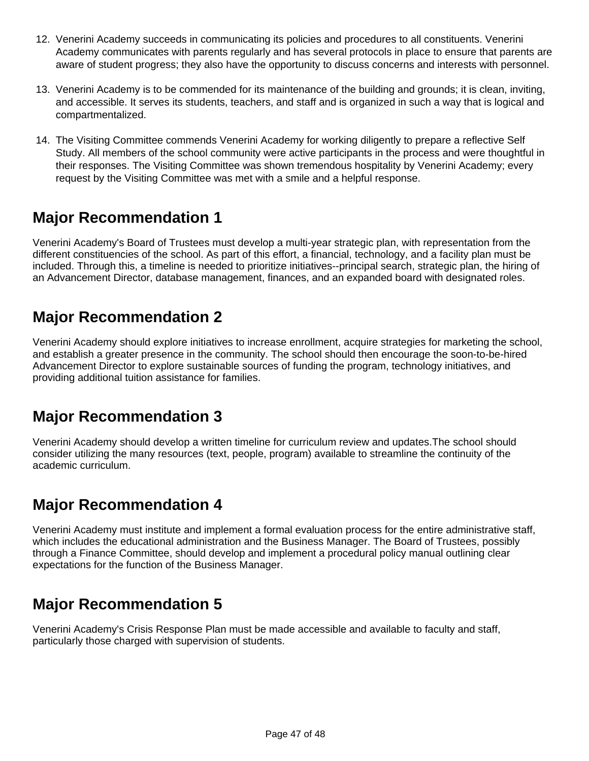- 12. Venerini Academy succeeds in communicating its policies and procedures to all constituents. Venerini Academy communicates with parents regularly and has several protocols in place to ensure that parents are aware of student progress; they also have the opportunity to discuss concerns and interests with personnel.
- 13. Venerini Academy is to be commended for its maintenance of the building and grounds; it is clean, inviting, and accessible. It serves its students, teachers, and staff and is organized in such a way that is logical and compartmentalized.
- 14. The Visiting Committee commends Venerini Academy for working diligently to prepare a reflective Self Study. All members of the school community were active participants in the process and were thoughtful in their responses. The Visiting Committee was shown tremendous hospitality by Venerini Academy; every request by the Visiting Committee was met with a smile and a helpful response.

# **Major Recommendation 1**

Venerini Academy's Board of Trustees must develop a multi-year strategic plan, with representation from the different constituencies of the school. As part of this effort, a financial, technology, and a facility plan must be included. Through this, a timeline is needed to prioritize initiatives--principal search, strategic plan, the hiring of an Advancement Director, database management, finances, and an expanded board with designated roles.

# **Major Recommendation 2**

Venerini Academy should explore initiatives to increase enrollment, acquire strategies for marketing the school, and establish a greater presence in the community. The school should then encourage the soon-to-be-hired Advancement Director to explore sustainable sources of funding the program, technology initiatives, and providing additional tuition assistance for families.

# **Major Recommendation 3**

Venerini Academy should develop a written timeline for curriculum review and updates.The school should consider utilizing the many resources (text, people, program) available to streamline the continuity of the academic curriculum.

# **Major Recommendation 4**

Venerini Academy must institute and implement a formal evaluation process for the entire administrative staff, which includes the educational administration and the Business Manager. The Board of Trustees, possibly through a Finance Committee, should develop and implement a procedural policy manual outlining clear expectations for the function of the Business Manager.

# **Major Recommendation 5**

Venerini Academy's Crisis Response Plan must be made accessible and available to faculty and staff, particularly those charged with supervision of students.